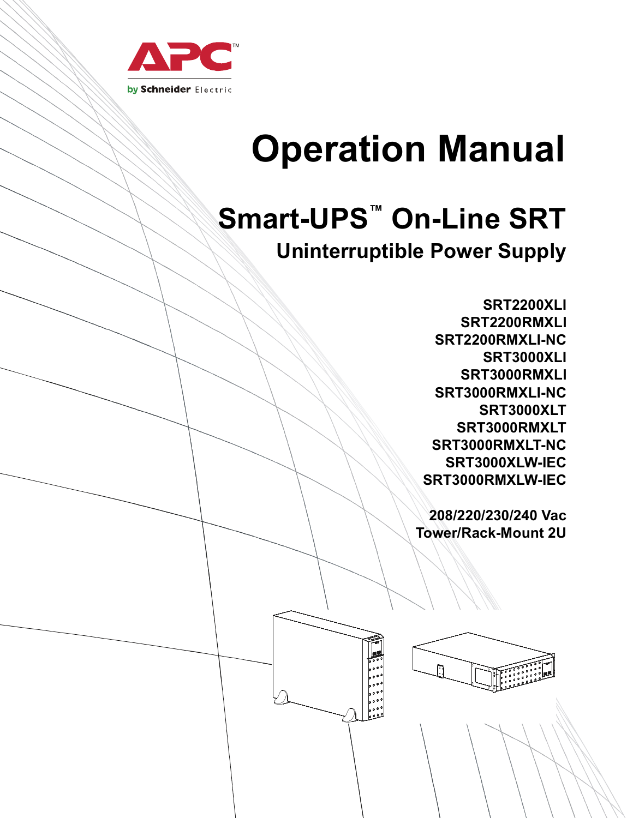

# **Operation Manual**

# **Smart-UPS™ On-Line SRT**

### **Uninterruptible Power Supply**

**SRT2200XLI SRT2200RMXLI SRT2200RMXLI-NC SRT3000XLI SRT3000RMXLI SRT3000RMXLI-NC SRT3000XLT SRT3000RMXLT SRT3000RMXLT-NC SRT3000XLW-IEC SRT3000RMXLW-IEC**

**208/220/230/240 Vac Tower/Rack-Mount 2U**

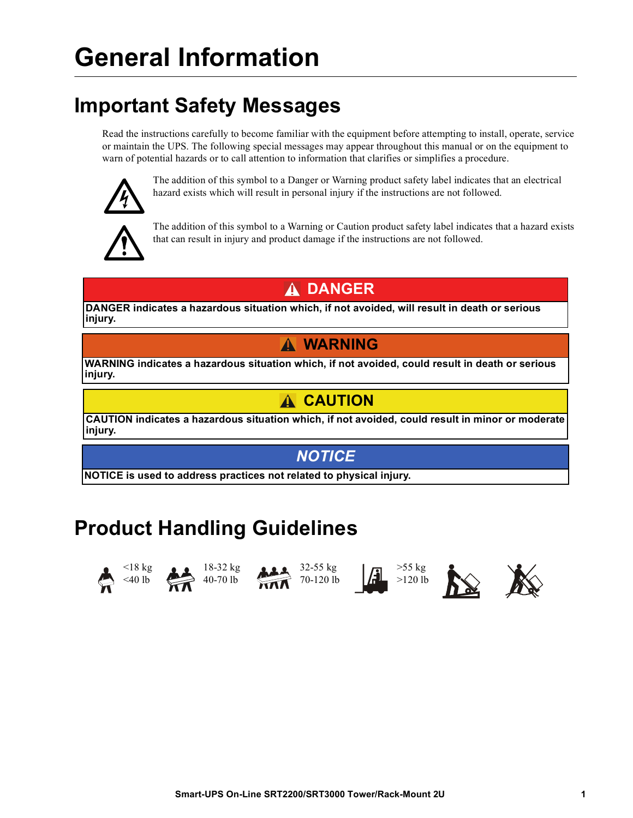## **Important Safety Messages**

Read the instructions carefully to become familiar with the equipment before attempting to install, operate, service or maintain the UPS. The following special messages may appear throughout this manual or on the equipment to warn of potential hazards or to call attention to information that clarifies or simplifies a procedure.



The addition of this symbol to a Danger or Warning product safety label indicates that an electrical hazard exists which will result in personal injury if the instructions are not followed.



The addition of this symbol to a Warning or Caution product safety label indicates that a hazard exists that can result in injury and product damage if the instructions are not followed.

### **DANGER**

**DANGER indicates a hazardous situation which, if not avoided, will result in death or serious injury.**

### **WARNING**

**WARNING indicates a hazardous situation which, if not avoided, could result in death or serious injury.**

### **CAUTION**

**CAUTION indicates a hazardous situation which, if not avoided, could result in minor or moderate injury.**

### *NOTICE*

**NOTICE is used to address practices not related to physical injury.**

## **Product Handling Guidelines**











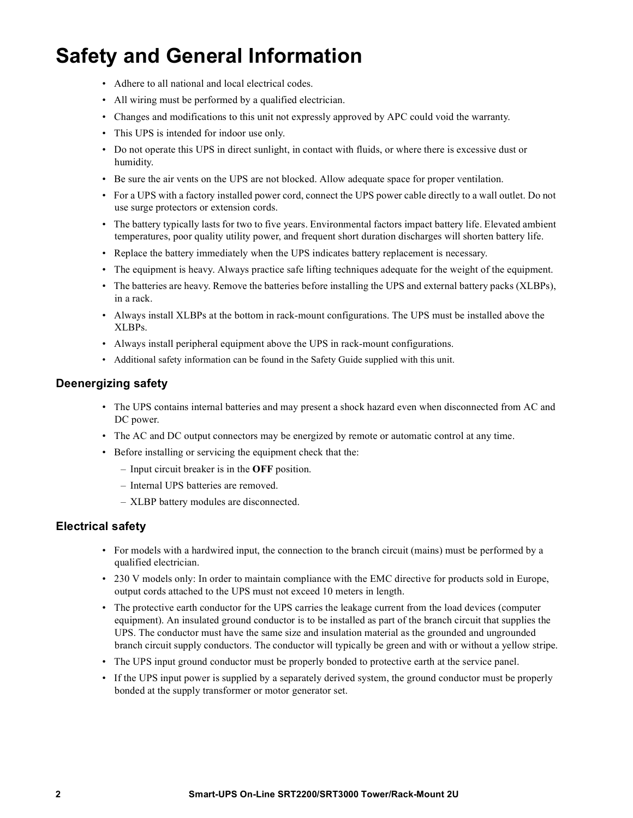## **Safety and General Information**

- Adhere to all national and local electrical codes.
- All wiring must be performed by a qualified electrician.
- Changes and modifications to this unit not expressly approved by APC could void the warranty.
- This UPS is intended for indoor use only.
- Do not operate this UPS in direct sunlight, in contact with fluids, or where there is excessive dust or humidity.
- Be sure the air vents on the UPS are not blocked. Allow adequate space for proper ventilation.
- For a UPS with a factory installed power cord, connect the UPS power cable directly to a wall outlet. Do not use surge protectors or extension cords.
- The battery typically lasts for two to five years. Environmental factors impact battery life. Elevated ambient temperatures, poor quality utility power, and frequent short duration discharges will shorten battery life.
- Replace the battery immediately when the UPS indicates battery replacement is necessary.
- The equipment is heavy. Always practice safe lifting techniques adequate for the weight of the equipment.
- The batteries are heavy. Remove the batteries before installing the UPS and external battery packs (XLBPs), in a rack.
- Always install XLBPs at the bottom in rack-mount configurations. The UPS must be installed above the XLBPs.
- Always install peripheral equipment above the UPS in rack-mount configurations.
- Additional safety information can be found in the Safety Guide supplied with this unit.

### **Deenergizing safety**

- The UPS contains internal batteries and may present a shock hazard even when disconnected from AC and DC power.
- The AC and DC output connectors may be energized by remote or automatic control at any time.
- Before installing or servicing the equipment check that the:
	- Input circuit breaker is in the **OFF** position.
	- Internal UPS batteries are removed.
	- XLBP battery modules are disconnected.

### **Electrical safety**

- For models with a hardwired input, the connection to the branch circuit (mains) must be performed by a qualified electrician.
- 230 V models only: In order to maintain compliance with the EMC directive for products sold in Europe, output cords attached to the UPS must not exceed 10 meters in length.
- The protective earth conductor for the UPS carries the leakage current from the load devices (computer equipment). An insulated ground conductor is to be installed as part of the branch circuit that supplies the UPS. The conductor must have the same size and insulation material as the grounded and ungrounded branch circuit supply conductors. The conductor will typically be green and with or without a yellow stripe.
- The UPS input ground conductor must be properly bonded to protective earth at the service panel.
- If the UPS input power is supplied by a separately derived system, the ground conductor must be properly bonded at the supply transformer or motor generator set.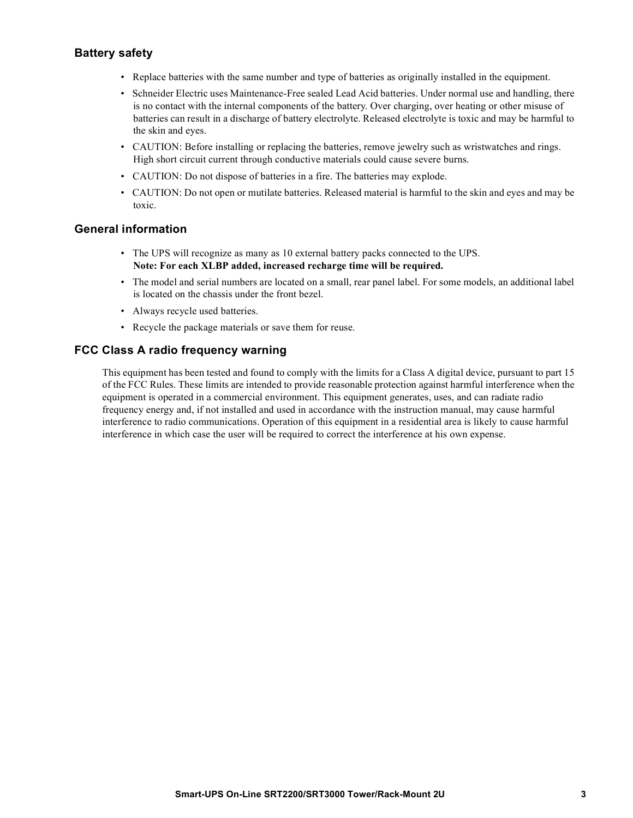### **Battery safety**

- Replace batteries with the same number and type of batteries as originally installed in the equipment.
- Schneider Electric uses Maintenance-Free sealed Lead Acid batteries. Under normal use and handling, there is no contact with the internal components of the battery. Over charging, over heating or other misuse of batteries can result in a discharge of battery electrolyte. Released electrolyte is toxic and may be harmful to the skin and eyes.
- CAUTION: Before installing or replacing the batteries, remove jewelry such as wristwatches and rings. High short circuit current through conductive materials could cause severe burns.
- CAUTION: Do not dispose of batteries in a fire. The batteries may explode.
- CAUTION: Do not open or mutilate batteries. Released material is harmful to the skin and eyes and may be toxic.

### **General information**

- The UPS will recognize as many as 10 external battery packs connected to the UPS. **Note: For each XLBP added, increased recharge time will be required.**
- The model and serial numbers are located on a small, rear panel label. For some models, an additional label is located on the chassis under the front bezel.
- Always recycle used batteries.
- Recycle the package materials or save them for reuse.

### **FCC Class A radio frequency warning**

This equipment has been tested and found to comply with the limits for a Class A digital device, pursuant to part 15 of the FCC Rules. These limits are intended to provide reasonable protection against harmful interference when the equipment is operated in a commercial environment. This equipment generates, uses, and can radiate radio frequency energy and, if not installed and used in accordance with the instruction manual, may cause harmful interference to radio communications. Operation of this equipment in a residential area is likely to cause harmful interference in which case the user will be required to correct the interference at his own expense.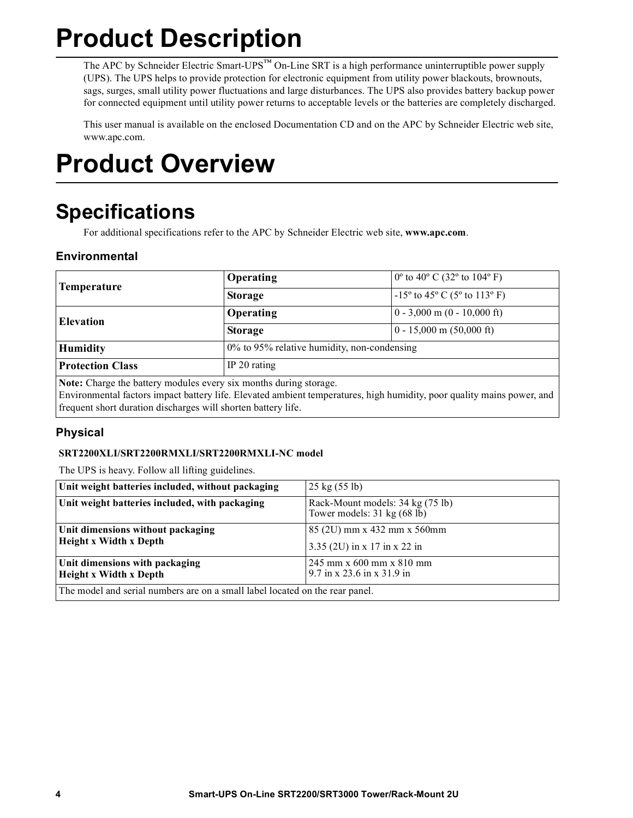# **Product Description**

The APC by Schneider Electric Smart-UPS<sup>™</sup> On-Line SRT is a high performance uninterruptible power supply (UPS). The UPS helps to provide protection for electronic equipment from utility power blackouts, brownouts, sags, surges, small utility power fluctuations and large disturbances. The UPS also provides battery backup power for connected equipment until utility power returns to acceptable levels or the batteries are completely discharged.

This user manual is available on the enclosed Documentation CD and on the APC by Schneider Electric web site, www.apc.com.

# **Product Overview**

## **Specifications**

For additional specifications refer to the APC by Schneider Electric web site, **www.apc.com**.

### **Environmental**

| Temperature                                                       | Operating                                   | $0^{\circ}$ to 40° C (32° to 104° F)  |  |
|-------------------------------------------------------------------|---------------------------------------------|---------------------------------------|--|
|                                                                   | <b>Storage</b>                              | $-15^{\circ}$ to 45° C (5° to 113° F) |  |
| Elevation                                                         | Operating                                   | $0 - 3,000$ m $(0 - 10,000$ ft)       |  |
|                                                                   | <b>Storage</b>                              | $0 - 15,000$ m $(50,000$ ft)          |  |
| <b>Humidity</b>                                                   | 0% to 95% relative humidity, non-condensing |                                       |  |
| <b>Protection Class</b>                                           | IP $20$ rating                              |                                       |  |
| Note: Charge the battery modules every six months during storage. |                                             |                                       |  |

Environmental factors impact battery life. Elevated ambient temperatures, high humidity, poor quality mains power, and frequent short duration discharges will shorten battery life.

### **Physical**

### **SRT2200XLI/SRT2200RMXLI/SRT2200RMXLI-NC model**

The UPS is heavy. Follow all lifting guidelines.

| Unit weight batteries included, without packaging                            | $25 \text{ kg} (55 \text{ lb})$                                                   |  |  |
|------------------------------------------------------------------------------|-----------------------------------------------------------------------------------|--|--|
| Unit weight batteries included, with packaging                               | Rack-Mount models: 34 kg (75 lb)<br>Tower models: $31 \text{ kg} (68 \text{ lb})$ |  |  |
| Unit dimensions without packaging<br><b>Height x Width x Depth</b>           | 85 (2U) mm x 432 mm x 560mm                                                       |  |  |
|                                                                              | 3.35 (2U) in x 17 in x 22 in                                                      |  |  |
| Unit dimensions with packaging                                               | $245$ mm x 600 mm x 810 mm                                                        |  |  |
| <b>Height x Width x Depth</b>                                                | $9.7$ in x 23.6 in x 31.9 in                                                      |  |  |
| The model and serial numbers are on a small label located on the rear panel. |                                                                                   |  |  |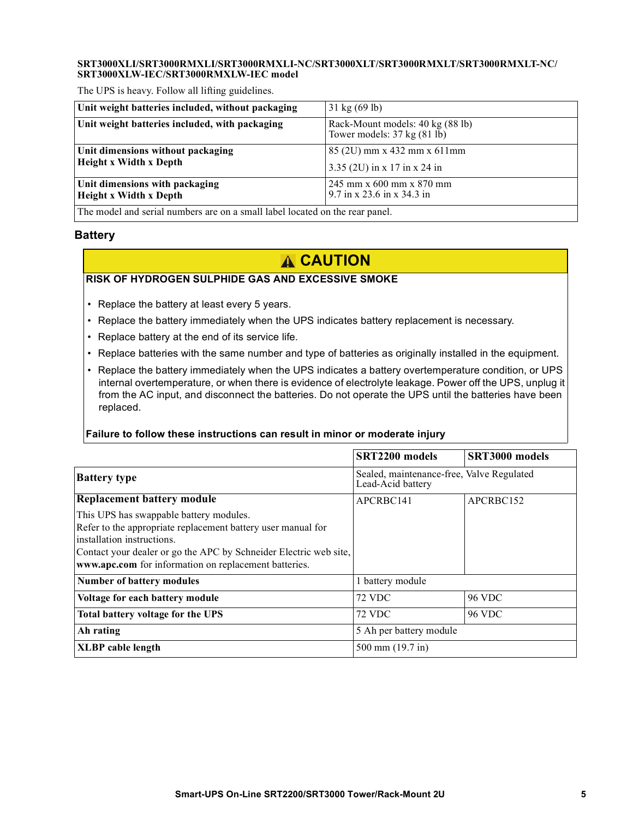#### **SRT3000XLI/SRT3000RMXLI/SRT3000RMXLI-NC/SRT3000XLT/SRT3000RMXLT/SRT3000RMXLT-NC/ SRT3000XLW-IEC/SRT3000RMXLW-IEC model**

The UPS is heavy. Follow all lifting guidelines.

| Unit weight batteries included, without packaging                           | $31 \text{ kg} (69 \text{ lb})$                                                   |  |  |
|-----------------------------------------------------------------------------|-----------------------------------------------------------------------------------|--|--|
| Unit weight batteries included, with packaging                              | Rack-Mount models: 40 kg (88 lb)<br>Tower models: $37 \text{ kg} (81 \text{ lb})$ |  |  |
| Unit dimensions without packaging                                           | 85 (2U) mm x 432 mm x 611 mm                                                      |  |  |
| <b>Height x Width x Depth</b>                                               | 3.35 (2U) in x 17 in x 24 in                                                      |  |  |
| Unit dimensions with packaging                                              | $245$ mm x 600 mm x 870 mm                                                        |  |  |
| <b>Height x Width x Depth</b>                                               | 9.7 in x 23.6 in x 34.3 in                                                        |  |  |
| The model and serial numbers are on a small label located on the rear nanel |                                                                                   |  |  |

The model and serial numbers are on a small label located on the rear panel.

#### **Battery**

### **A** CAUTION

### **RISK OF HYDROGEN SULPHIDE GAS AND EXCESSIVE SMOKE**

- Replace the battery at least every 5 years.
- Replace the battery immediately when the UPS indicates battery replacement is necessary.
- Replace battery at the end of its service life.
- Replace batteries with the same number and type of batteries as originally installed in the equipment.
- Replace the battery immediately when the UPS indicates a battery overtemperature condition, or UPS internal overtemperature, or when there is evidence of electrolyte leakage. Power off the UPS, unplug it from the AC input, and disconnect the batteries. Do not operate the UPS until the batteries have been replaced.

#### **Failure to follow these instructions can result in minor or moderate injury**

|                                                                                                                                                                                                                                                                     | SRT2200 models                                                 | SRT3000 models |
|---------------------------------------------------------------------------------------------------------------------------------------------------------------------------------------------------------------------------------------------------------------------|----------------------------------------------------------------|----------------|
| <b>Battery type</b>                                                                                                                                                                                                                                                 | Sealed, maintenance-free, Valve Regulated<br>Lead-Acid battery |                |
| <b>Replacement battery module</b>                                                                                                                                                                                                                                   | APCRBC141                                                      | APCRBC152      |
| This UPS has swappable battery modules.<br>Refer to the appropriate replacement battery user manual for<br>installation instructions.<br>Contact your dealer or go the APC by Schneider Electric web site,<br>www.apc.com for information on replacement batteries. |                                                                |                |
| <b>Number of battery modules</b>                                                                                                                                                                                                                                    | 1 battery module                                               |                |
| Voltage for each battery module                                                                                                                                                                                                                                     | <b>72 VDC</b>                                                  | <b>96 VDC</b>  |
| Total battery voltage for the UPS                                                                                                                                                                                                                                   | <b>72 VDC</b>                                                  | <b>96 VDC</b>  |
| Ah rating                                                                                                                                                                                                                                                           | 5 Ah per battery module                                        |                |
| <b>XLBP</b> cable length                                                                                                                                                                                                                                            | 500 mm (19.7 in)                                               |                |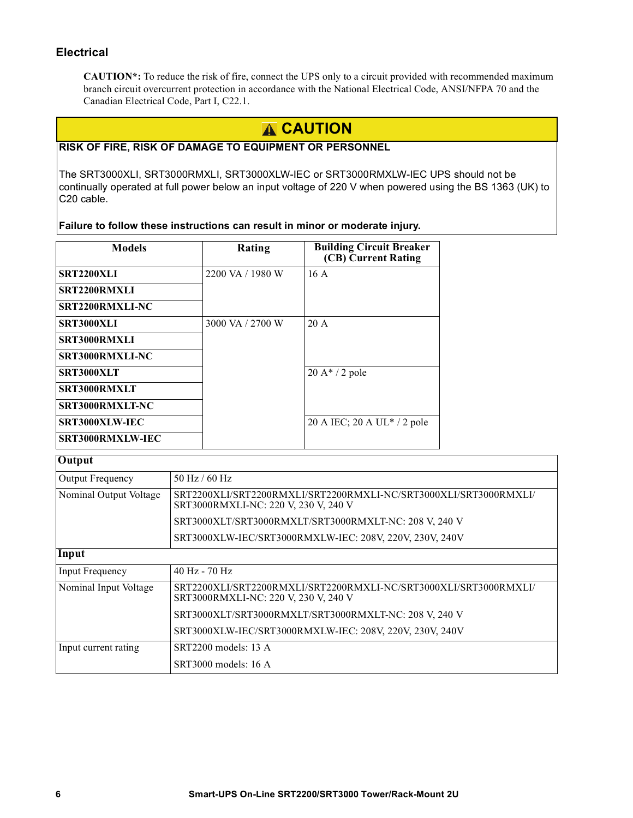### **Electrical**

**CAUTION\*:** To reduce the risk of fire, connect the UPS only to a circuit provided with recommended maximum branch circuit overcurrent protection in accordance with the National Electrical Code, ANSI/NFPA 70 and the Canadian Electrical Code, Part I, C22.1.

### **A CAUTION**

### **RISK OF FIRE, RISK OF DAMAGE TO EQUIPMENT OR PERSONNEL**

The SRT3000XLI, SRT3000RMXLI, SRT3000XLW-IEC or SRT3000RMXLW-IEC UPS should not be continually operated at full power below an input voltage of 220 V when powered using the BS 1363 (UK) to C20 cable.

**Failure to follow these instructions can result in minor or moderate injury.**

| <b>Models</b>    | Rating           | <b>Building Circuit Breaker</b><br>(CB) Current Rating |
|------------------|------------------|--------------------------------------------------------|
| SRT2200XLI       | 2200 VA / 1980 W | 16A                                                    |
| SRT2200RMXLI     |                  |                                                        |
| SRT2200RMXLI-NC  |                  |                                                        |
| SRT3000XLI       | 3000 VA / 2700 W | $20 \text{ A}$                                         |
| SRT3000RMXLI     |                  |                                                        |
| SRT3000RMXLI-NC  |                  |                                                        |
| SRT3000XLT       |                  | $20 A* / 2 pole$                                       |
| SRT3000RMXLT     |                  |                                                        |
| SRT3000RMXLT-NC  |                  |                                                        |
| SRT3000XLW-IEC   |                  | 20 A IEC; 20 A UL $*$ / 2 pole                         |
| SRT3000RMXLW-IEC |                  |                                                        |

| <b>Output</b>          |                                                                                                          |  |  |
|------------------------|----------------------------------------------------------------------------------------------------------|--|--|
| Output Frequency       | $50$ Hz / 60 Hz                                                                                          |  |  |
| Nominal Output Voltage | SRT2200XLI/SRT2200RMXLI/SRT2200RMXLI-NC/SRT3000XLI/SRT3000RMXLI/<br>SRT3000RMXLI-NC: 220 V, 230 V, 240 V |  |  |
|                        | SRT3000XLT/SRT3000RMXLT/SRT3000RMXLT-NC: 208 V, 240 V                                                    |  |  |
|                        | SRT3000XLW-IEC/SRT3000RMXLW-IEC: 208V, 220V, 230V, 240V                                                  |  |  |
| Input                  |                                                                                                          |  |  |
| <b>Input Frequency</b> | $40$ Hz - $70$ Hz                                                                                        |  |  |
| Nominal Input Voltage  | SRT2200XLI/SRT2200RMXLI/SRT2200RMXLI-NC/SRT3000XLI/SRT3000RMXLI/<br>SRT3000RMXLI-NC: 220 V, 230 V, 240 V |  |  |
|                        | SRT3000XLT/SRT3000RMXLT/SRT3000RMXLT-NC: 208 V, 240 V                                                    |  |  |
|                        | SRT3000XLW-IEC/SRT3000RMXLW-IEC: 208V, 220V, 230V, 240V                                                  |  |  |
| Input current rating   | SRT2200 models: 13 A                                                                                     |  |  |
|                        | $SRT3000$ models: 16 A                                                                                   |  |  |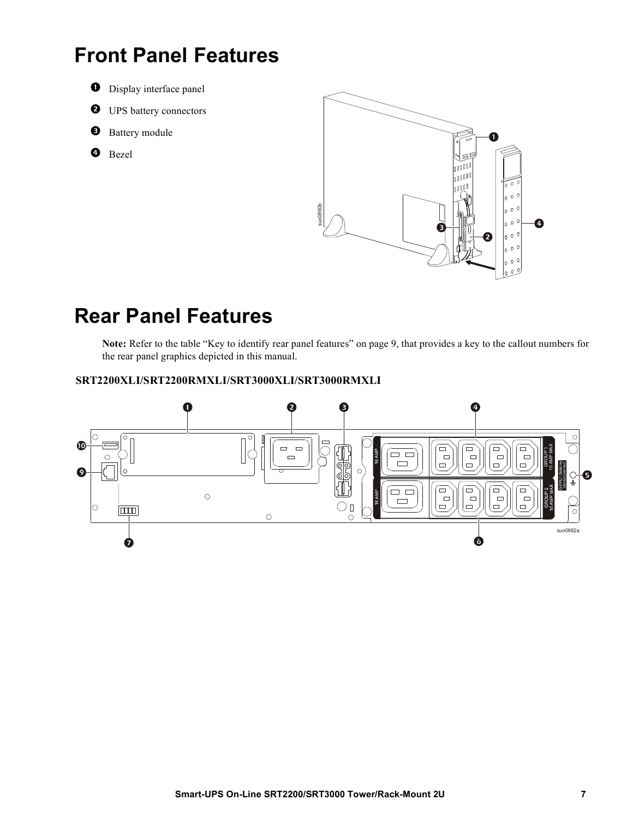### **Front Panel Features**

- **O** Display interface panel
- $\bullet$  UPS battery connectors
- **8** Battery module
- **O** Bezel



### **Rear Panel Features**

**Note:** Refer to the table "Key to identify rear panel features" on page 9, that provides a key to the callout numbers for the rear panel graphics depicted in this manual. **SECONDED SECONDED SECONDED SECONDED SECONDED SECONDED SPECIES**<br>
Note: Refer to the table "Key to identify rear panel features" on page<br>
the rear panel graphics depicted in this manual.<br>
SRT2200XLI/SRT2200RMXLI/SRT3000XLI/

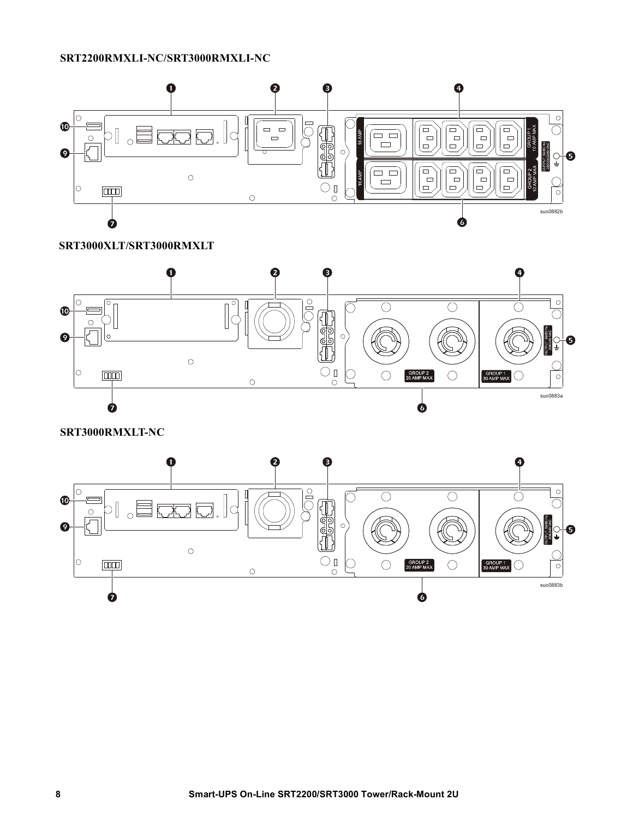#### **SRT2200RMXLI-NC/SRT3000RMXLI-NC**



**SRT3000XLT/SRT3000RMXLT**



**SRT3000RMXLT-NC**

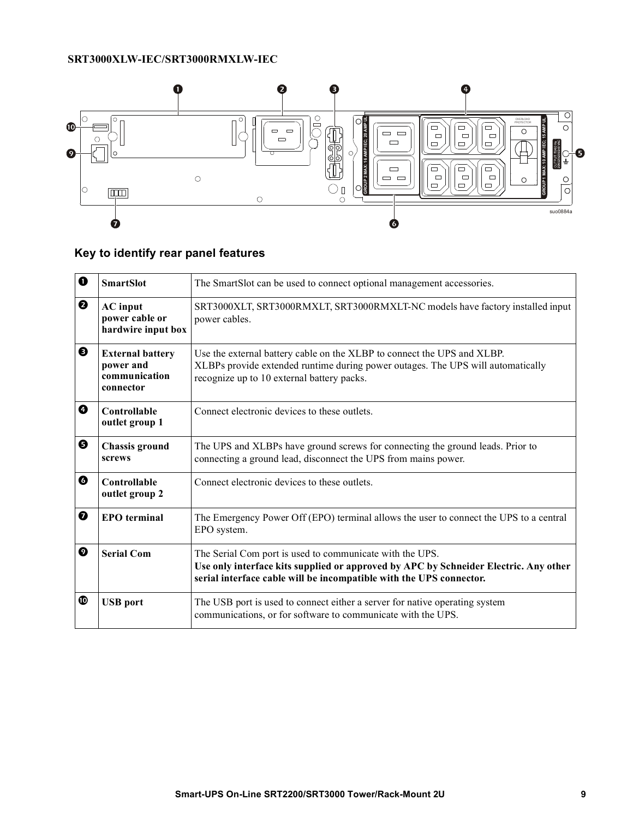### **SRT3000XLW-IEC/SRT3000RMXLW-IEC**



### **Key to identify rear panel features**

| 0 | <b>SmartSlot</b>                                                   | The SmartSlot can be used to connect optional management accessories.                                                                                                                                                   |  |
|---|--------------------------------------------------------------------|-------------------------------------------------------------------------------------------------------------------------------------------------------------------------------------------------------------------------|--|
| ❷ | <b>AC</b> input<br>power cable or<br>hardwire input box            | SRT3000XLT, SRT3000RMXLT, SRT3000RMXLT-NC models have factory installed input<br>power cables.                                                                                                                          |  |
| ❸ | <b>External battery</b><br>power and<br>communication<br>connector | Use the external battery cable on the XLBP to connect the UPS and XLBP.<br>XLBPs provide extended runtime during power outages. The UPS will automatically<br>recognize up to 10 external battery packs.                |  |
| ❹ | Controllable<br>outlet group 1                                     | Connect electronic devices to these outlets.                                                                                                                                                                            |  |
| ❺ | <b>Chassis ground</b><br>screws                                    | The UPS and XLBPs have ground screws for connecting the ground leads. Prior to<br>connecting a ground lead, disconnect the UPS from mains power.                                                                        |  |
| ❻ | Controllable<br>outlet group 2                                     | Connect electronic devices to these outlets.                                                                                                                                                                            |  |
| ❼ | <b>EPO</b> terminal                                                | The Emergency Power Off (EPO) terminal allows the user to connect the UPS to a central<br>EPO system.                                                                                                                   |  |
| ◙ | <b>Serial Com</b>                                                  | The Serial Com port is used to communicate with the UPS.<br>Use only interface kits supplied or approved by APC by Schneider Electric. Any other<br>serial interface cable will be incompatible with the UPS connector. |  |
| ◍ | <b>USB</b> port                                                    | The USB port is used to connect either a server for native operating system<br>communications, or for software to communicate with the UPS.                                                                             |  |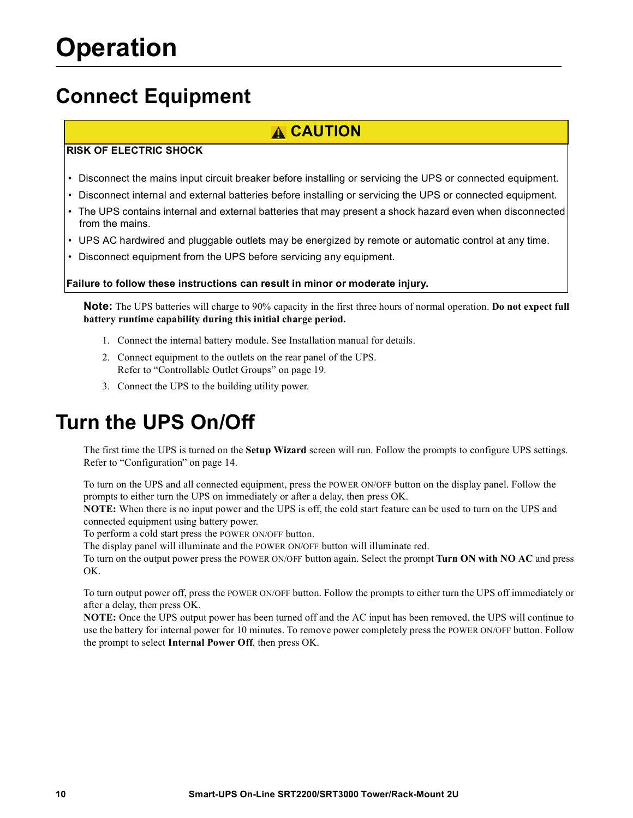## <span id="page-11-0"></span>**Connect Equipment**

### **CAUTION**

### **RISK OF ELECTRIC SHOCK**

- Disconnect the mains input circuit breaker before installing or servicing the UPS or connected equipment.
- Disconnect internal and external batteries before installing or servicing the UPS or connected equipment.
- The UPS contains internal and external batteries that may present a shock hazard even when disconnected from the mains.
- UPS AC hardwired and pluggable outlets may be energized by remote or automatic control at any time.
- Disconnect equipment from the UPS before servicing any equipment.

**Failure to follow these instructions can result in minor or moderate injury.**

**Note:** The UPS batteries will charge to 90% capacity in the first three hours of normal operation. **Do not expect full battery runtime capability during this initial charge period.**

- 1. Connect [the internal battery module. See Installati](#page-21-0)on manual for details.
- 2. Connect equipment to the outlets on the rear panel of the UPS. Refer to "Controllable Outlet Groups" on page 19.
- 3. Connect the UPS to the building utility power.

### **Turn t[he UPS On/O](#page-16-0)ff**

The first time the UPS is turned on the **Setup Wizard** screen will run. Follow the prompts to configure UPS settings. Refer to "Configuration" on page 14.

To turn on the UPS and all connected equipment, press the POWER ON/OFF button on the display panel. Follow the prompts to either turn the UPS on immediately or after a delay, then press OK.

**NOTE:** When there is no input power and the UPS is off, the cold start feature can be used to turn on the UPS and connected equipment using battery power.

To perform a cold start press the POWER ON/OFF button.

The display panel will illuminate and the POWER ON/OFF button will illuminate red.

To turn on the output power press the POWER ON/OFF button again. Select the prompt **Turn ON with NO AC** and press OK.

To turn output power off, press the POWER ON/OFF button. Follow the prompts to either turn the UPS off immediately or after a delay, then press OK.

**NOTE:** Once the UPS output power has been turned off and the AC input has been removed, the UPS will continue to use the battery for internal power for 10 minutes. To remove power completely press the POWER ON/OFF button. Follow the prompt to select **Internal Power Off**, then press OK.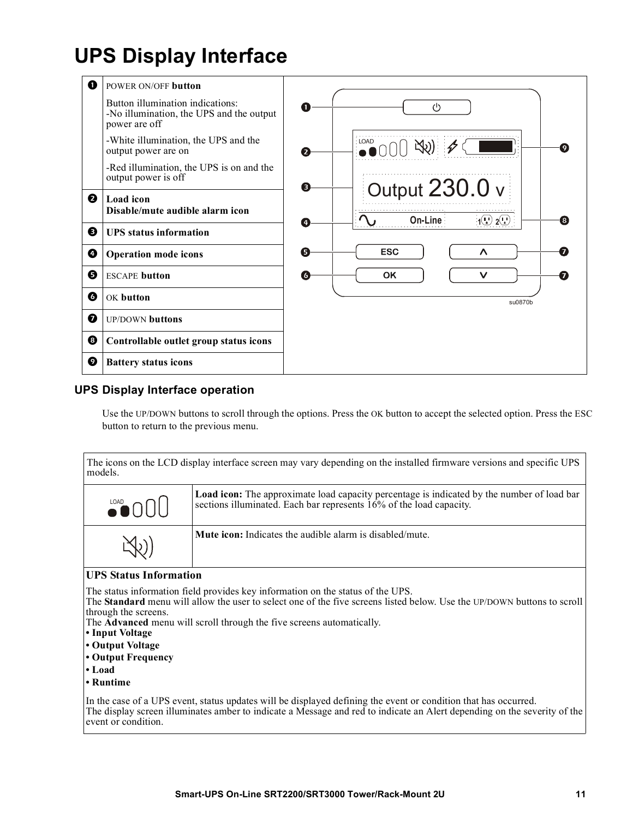## **UPS Display Interface**



### **UPS Display Interface operation**

Use the UP/DOWN buttons to scroll through the options. Press the OK button to accept the selected option. Press the ESC button to return to the previous menu.

| The icons on the LCD display interface screen may vary depending on the installed firmware versions and specific UPS<br>models. |                                                                                                                                                                          |  |  |
|---------------------------------------------------------------------------------------------------------------------------------|--------------------------------------------------------------------------------------------------------------------------------------------------------------------------|--|--|
| $\bullet$ 000                                                                                                                   | <b>Load icon:</b> The approximate load capacity percentage is indicated by the number of load bar<br>sections illuminated. Each bar represents 16% of the load capacity. |  |  |
|                                                                                                                                 | <b>Mute icon:</b> Indicates the audible alarm is disabled/mute.                                                                                                          |  |  |

#### **UPS Status Information**

The status information field provides key information on the status of the UPS.

The **Standard** menu will allow the user to select one of the five screens listed below. Use the UP/DOWN buttons to scroll through the screens.

The **Advanced** menu will scroll through the five screens automatically.

- **Input Voltage**
- **Output Voltage**
- **Output Frequency**
- **Load**
- **Runtime**

In the case of a UPS event, status updates will be displayed defining the event or condition that has occurred. The display screen illuminates amber to indicate a Message and red to indicate an Alert depending on the severity of the event or condition.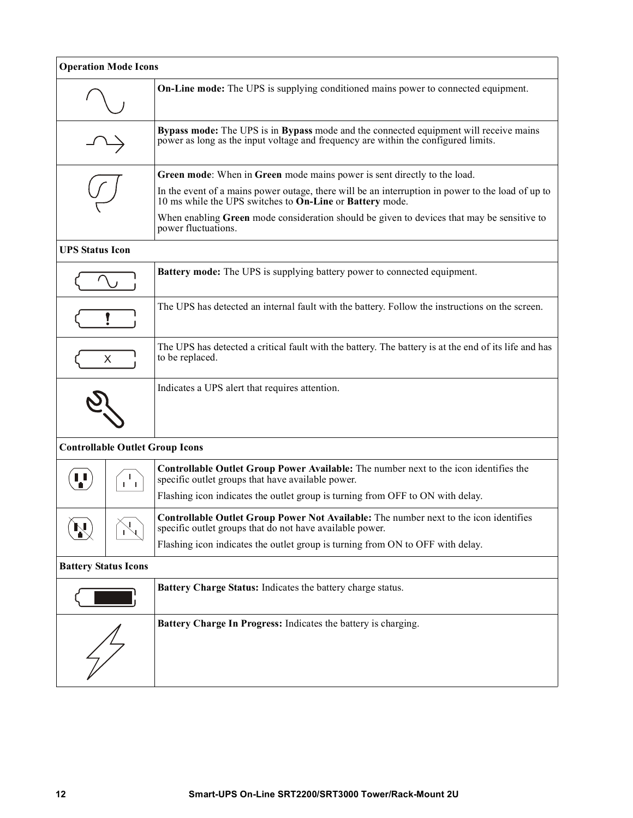| <b>Operation Mode Icons</b> |                         |                                                                                                                                                                                                                                           |  |  |
|-----------------------------|-------------------------|-------------------------------------------------------------------------------------------------------------------------------------------------------------------------------------------------------------------------------------------|--|--|
|                             |                         | <b>On-Line mode:</b> The UPS is supplying conditioned mains power to connected equipment.                                                                                                                                                 |  |  |
|                             |                         | Bypass mode: The UPS is in Bypass mode and the connected equipment will receive mains<br>power as long as the input voltage and frequency are within the configured limits.                                                               |  |  |
|                             |                         | Green mode: When in Green mode mains power is sent directly to the load.<br>In the event of a mains power outage, there will be an interruption in power to the load of up to<br>10 ms while the UPS switches to On-Line or Battery mode. |  |  |
|                             |                         | When enabling Green mode consideration should be given to devices that may be sensitive to<br>power fluctuations.                                                                                                                         |  |  |
| <b>UPS Status Icon</b>      |                         |                                                                                                                                                                                                                                           |  |  |
|                             |                         | <b>Battery mode:</b> The UPS is supplying battery power to connected equipment.                                                                                                                                                           |  |  |
|                             |                         | The UPS has detected an internal fault with the battery. Follow the instructions on the screen.                                                                                                                                           |  |  |
| X                           |                         | The UPS has detected a critical fault with the battery. The battery is at the end of its life and has<br>to be replaced.                                                                                                                  |  |  |
|                             |                         | Indicates a UPS alert that requires attention.                                                                                                                                                                                            |  |  |
|                             |                         | <b>Controllable Outlet Group Icons</b>                                                                                                                                                                                                    |  |  |
| л.                          | $\mathbf{I}$<br>$1 - 1$ | Controllable Outlet Group Power Available: The number next to the icon identifies the<br>specific outlet groups that have available power.                                                                                                |  |  |
|                             |                         | Flashing icon indicates the outlet group is turning from OFF to ON with delay.                                                                                                                                                            |  |  |
| $\mathbf{N}$                |                         | <b>Controllable Outlet Group Power Not Available:</b> The number next to the icon identifies<br>specific outlet groups that do not have available power.                                                                                  |  |  |
|                             |                         | Flashing icon indicates the outlet group is turning from ON to OFF with delay.                                                                                                                                                            |  |  |
| <b>Battery Status Icons</b> |                         |                                                                                                                                                                                                                                           |  |  |
|                             |                         | Battery Charge Status: Indicates the battery charge status.                                                                                                                                                                               |  |  |
|                             |                         | Battery Charge In Progress: Indicates the battery is charging.                                                                                                                                                                            |  |  |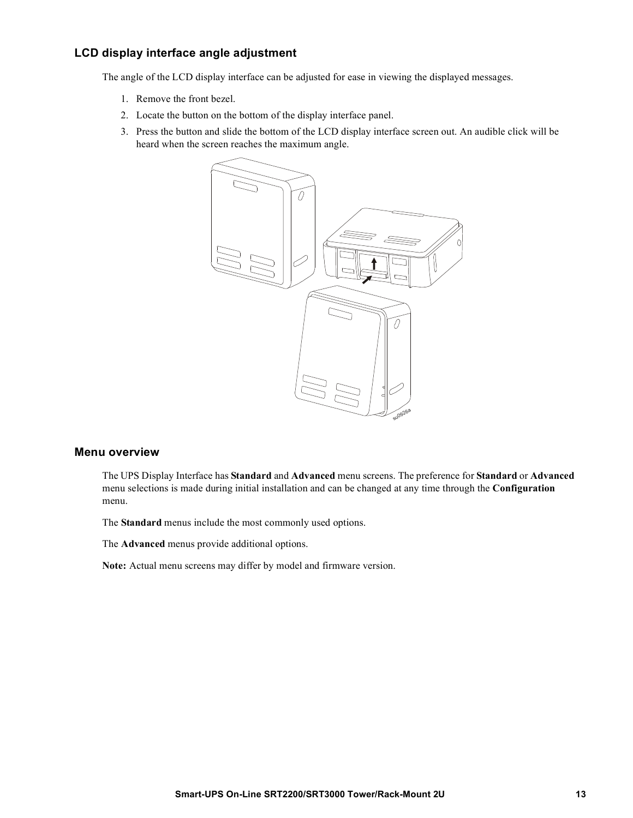### **LCD display interface angle adjustment**

The angle of the LCD display interface can be adjusted for ease in viewing the displayed messages.

- 1. Remove the front bezel.
- 2. Locate the button on the bottom of the display interface panel.
- 3. Press the button and slide the bottom of the LCD display interface screen out. An audible click will be heard when the screen reaches the maximum angle.



#### **Menu overview**

The UPS Display Interface has **Standard** and **Advanced** menu screens. The preference for **Standard** or **Advanced** menu selections is made during initial installation and can be changed at any time through the **Configuration** menu.

The **Standard** menus include the most commonly used options.

The **Advanced** menus provide additional options.

**Note:** Actual menu screens may differ by model and firmware version.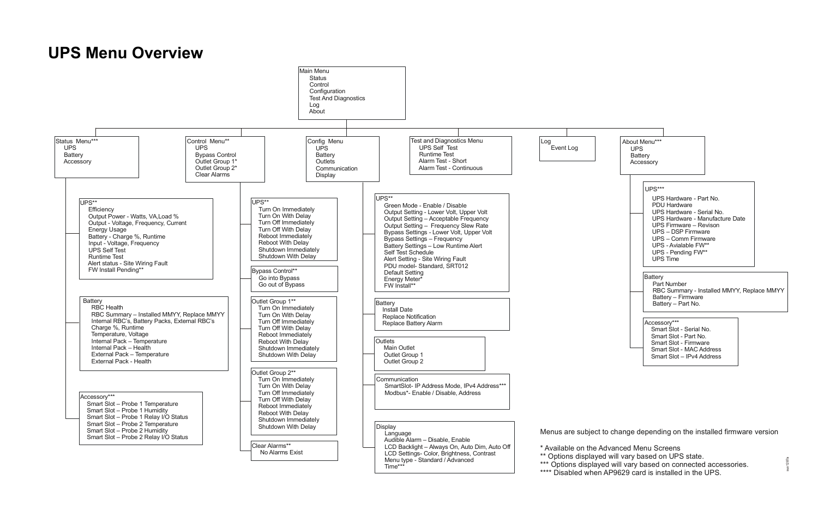## **UPS Menu Overview**





| Accessory***              |
|---------------------------|
| Smart Slot - Serial No.   |
| Smart Slot - Part No.     |
| Smart Slot - Firmware     |
| Smart Slot - MAC Address  |
| Smart Slot - IPv4 Address |
|                           |

Menus are subject to change depending on the installed firmware version

\* Available on the Advanced Menu Screens

\*\* Options displayed will vary based on UPS state.

\*\*\* Options displayed will vary based on connected accessories.

\*\*\*\* Disabled when AP9629 card is installed in the UPS.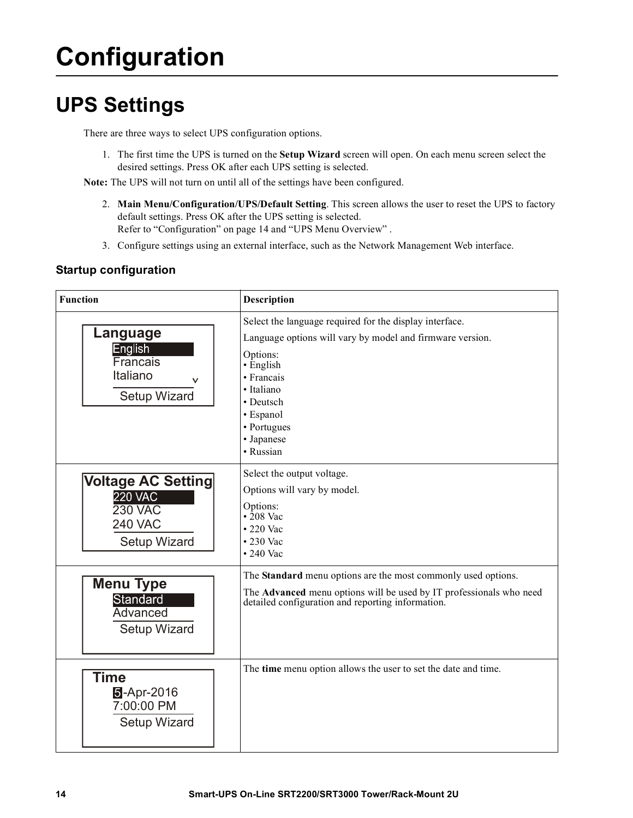# <span id="page-16-0"></span>**Configuration**

## **UPS Settings**

There are three ways to select UPS configuration options.

1. The first time the UPS is turned on the **Setup Wizard** screen will open. On each menu screen select the desired settings. Press OK after each UPS setting is selected.

**Note:** The UPS will not turn on until all of the settings have been configured.

- 2. **Main M[enu/Configuration/UPS/De](#page-16-0)fault Setting**. This screen allows the user to reset the UPS to factory default settings. Press OK after the UPS setting is selected. Refer to "Configuration" on page 14 and "UPS Menu Overview" .
- 3. Configure settings using an external interface, such as the Network Management Web interface.

### **Startup configuration**

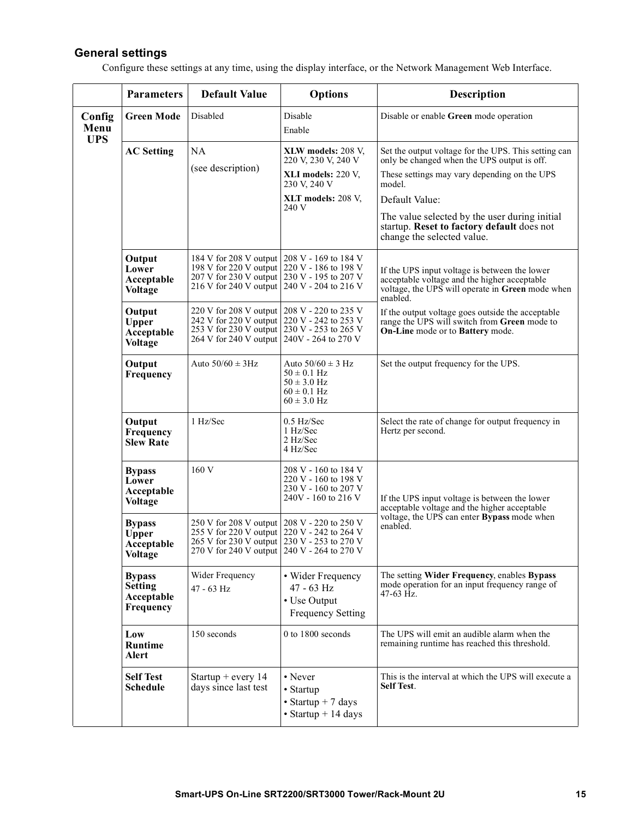### <span id="page-17-0"></span>**General settings**

Configure these settings at any time, using the display interface, or the Network Management Web Interface.

|                              | <b>Parameters</b>                                             | <b>Default Value</b>                                                                                                                                                                      | <b>Options</b>                                                                                    | <b>Description</b>                                                                                                                                            |
|------------------------------|---------------------------------------------------------------|-------------------------------------------------------------------------------------------------------------------------------------------------------------------------------------------|---------------------------------------------------------------------------------------------------|---------------------------------------------------------------------------------------------------------------------------------------------------------------|
| Config<br>Menu<br><b>UPS</b> | <b>Green Mode</b>                                             | Disabled                                                                                                                                                                                  | Disable<br>Enable                                                                                 | Disable or enable Green mode operation                                                                                                                        |
|                              | <b>AC Setting</b>                                             | <b>NA</b>                                                                                                                                                                                 | XLW models: 208 V,<br>220 V, 230 V, 240 V                                                         | Set the output voltage for the UPS. This setting can<br>only be changed when the UPS output is off.                                                           |
|                              |                                                               | (see description)                                                                                                                                                                         | XLI models: 220 V,<br>230 V, 240 V                                                                | These settings may vary depending on the UPS<br>model.                                                                                                        |
|                              |                                                               |                                                                                                                                                                                           | XLT models: 208 V,<br>240 V                                                                       | Default Value:                                                                                                                                                |
|                              |                                                               |                                                                                                                                                                                           |                                                                                                   | The value selected by the user during initial<br>startup. Reset to factory default does not<br>change the selected value.                                     |
|                              | Output<br>Lower<br>Acceptable<br>Voltage                      | 184 V for 208 V output 208 V - 169 to 184 V<br>198 V for 220 V output 220 V - 186 to 198 V<br>207 V for 230 V output 230 V - 195 to 207 V<br>216 V for 240 V output 240 V - 204 to 216 V  |                                                                                                   | If the UPS input voltage is between the lower<br>acceptable voltage and the higher acceptable<br>voltage, the UPS will operate in Green mode when<br>enabled. |
|                              | Output<br><b>Upper</b><br>Acceptable<br><b>Voltage</b>        | 220 V for 208 V output   208 V - 220 to 235 V<br>242 V for 220 V output 220 V - 242 to 253 V<br>253 V for 230 V output 230 V - 253 to 265 V<br>264 V for 240 V output 240V - 264 to 270 V |                                                                                                   | If the output voltage goes outside the acceptable<br>range the UPS will switch from Green mode to<br>On-Line mode or to Battery mode.                         |
|                              | Output<br>Frequency                                           | Auto $50/60 \pm 3$ Hz                                                                                                                                                                     | Auto $50/60 \pm 3$ Hz<br>$50 \pm 0.1$ Hz<br>$50 \pm 3.0$ Hz<br>$60 \pm 0.1$ Hz<br>$60 \pm 3.0$ Hz | Set the output frequency for the UPS.                                                                                                                         |
|                              | Output<br>Frequency<br><b>Slew Rate</b>                       | 1 Hz/Sec                                                                                                                                                                                  | 0.5 Hz/Sec<br>1 Hz/Sec<br>2 Hz/Sec<br>4 Hz/Sec                                                    | Select the rate of change for output frequency in<br>Hertz per second.                                                                                        |
|                              | <b>Bypass</b><br>Lower<br>Acceptable<br><b>Voltage</b>        | 160 V                                                                                                                                                                                     | 208 V - 160 to 184 V<br>220 V - 160 to 198 V<br>230 V - 160 to 207 V<br>240V - 160 to 216 V       | If the UPS input voltage is between the lower<br>acceptable voltage and the higher acceptable                                                                 |
|                              | <b>Bypass</b><br><b>Upper</b><br>Acceptable<br><b>Voltage</b> | 250 V for 208 V output 208 V - 220 to 250 V<br>255 V for 220 V output 220 V - 242 to 264 V<br>265 V for 230 V output 230 V - 253 to 270 V<br>270 V for 240 V output 240 V - 264 to 270 V  |                                                                                                   | voltage, the UPS can enter Bypass mode when<br>enabled.                                                                                                       |
|                              | <b>Bypass</b><br><b>Setting</b><br>Acceptable<br>Frequency    | Wider Frequency<br>$47 - 63$ Hz                                                                                                                                                           | • Wider Frequency<br>47 - 63 Hz<br>• Use Output<br><b>Frequency Setting</b>                       | The setting Wider Frequency, enables Bypass<br>mode operation for an input frequency range of<br>47-63 Hz.                                                    |
|                              | Low<br><b>Runtime</b><br><b>Alert</b>                         | 150 seconds                                                                                                                                                                               | 0 to 1800 seconds                                                                                 | The UPS will emit an audible alarm when the<br>remaining runtime has reached this threshold.                                                                  |
|                              | <b>Self Test</b><br><b>Schedule</b>                           | Startup + every $14$<br>days since last test                                                                                                                                              | • Never<br>• Startup<br>• Startup + 7 days<br>$\bullet$ Startup + 14 days                         | This is the interval at which the UPS will execute a<br><b>Self Test.</b>                                                                                     |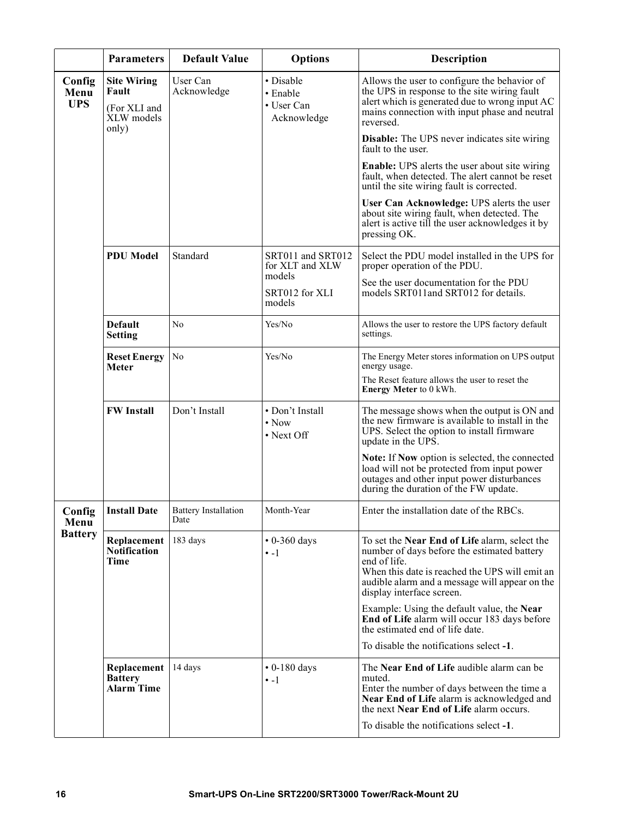|                              | <b>Parameters</b>                                                  | <b>Default Value</b>                               | <b>Options</b>                                     | <b>Description</b>                                                                                                                                                                                                                            |
|------------------------------|--------------------------------------------------------------------|----------------------------------------------------|----------------------------------------------------|-----------------------------------------------------------------------------------------------------------------------------------------------------------------------------------------------------------------------------------------------|
| Config<br>Menu<br><b>UPS</b> | <b>Site Wiring</b><br>Fault<br>(For XLI and<br>XLW models<br>only) | User Can<br>Acknowledge                            | • Disable<br>• Enable<br>• User Can<br>Acknowledge | Allows the user to configure the behavior of<br>the UPS in response to the site wiring fault<br>alert which is generated due to wrong input AC<br>mains connection with input phase and neutral<br>reversed.                                  |
|                              |                                                                    |                                                    |                                                    | <b>Disable:</b> The UPS never indicates site wiring<br>fault to the user.                                                                                                                                                                     |
|                              |                                                                    |                                                    |                                                    | Enable: UPS alerts the user about site wiring<br>fault, when detected. The alert cannot be reset<br>until the site wiring fault is corrected.                                                                                                 |
|                              |                                                                    |                                                    |                                                    | User Can Acknowledge: UPS alerts the user<br>about site wiring fault, when detected. The<br>alert is active till the user acknowledges it by<br>pressing OK.                                                                                  |
|                              | <b>PDU Model</b>                                                   | Standard                                           | SRT011 and SRT012<br>for XLT and XLW<br>models     | Select the PDU model installed in the UPS for<br>proper operation of the PDU.                                                                                                                                                                 |
|                              |                                                                    |                                                    | SRT012 for XLI<br>models                           | See the user documentation for the PDU<br>models SRT011and SRT012 for details.                                                                                                                                                                |
|                              | <b>Default</b><br><b>Setting</b>                                   | No                                                 | Yes/No                                             | Allows the user to restore the UPS factory default<br>settings.                                                                                                                                                                               |
|                              | <b>Reset Energy</b><br><b>Meter</b>                                | N <sub>0</sub>                                     | Yes/No                                             | The Energy Meter stores information on UPS output<br>energy usage.                                                                                                                                                                            |
|                              |                                                                    |                                                    |                                                    | The Reset feature allows the user to reset the<br>Energy Meter to 0 kWh.                                                                                                                                                                      |
|                              | <b>FW Install</b>                                                  | Don't Install                                      | • Don't Install<br>$\bullet$ Now<br>• Next Off     | The message shows when the output is ON and<br>the new firmware is available to install in the<br>UPS. Select the option to install firmware<br>update in the UPS.                                                                            |
|                              |                                                                    |                                                    |                                                    | Note: If Now option is selected, the connected<br>load will not be protected from input power<br>outages and other input power disturbances<br>during the duration of the FW update.                                                          |
| Config<br>Menu               |                                                                    | <b>Install Date</b>   Battery Installation<br>Date | Month-Year                                         | Enter the installation date of the RBCs.                                                                                                                                                                                                      |
| <b>Battery</b>               | Replacement<br><b>Notification</b><br>Time                         | 183 days                                           | $\cdot$ 0-360 days<br>$\cdot$ -1                   | To set the Near End of Life alarm, select the<br>number of days before the estimated battery<br>end of life.<br>When this date is reached the UPS will emit an<br>audible alarm and a message will appear on the<br>display interface screen. |
|                              |                                                                    |                                                    |                                                    | Example: Using the default value, the Near<br>End of Life alarm will occur 183 days before<br>the estimated end of life date.                                                                                                                 |
|                              |                                                                    |                                                    |                                                    | To disable the notifications select -1.                                                                                                                                                                                                       |
|                              | Replacement<br><b>Battery</b><br>Alarm Time                        | 14 days                                            | $\cdot$ 0-180 days<br>$\cdot$ -1                   | The Near End of Life audible alarm can be<br>muted.<br>Enter the number of days between the time a<br>Near End of Life alarm is acknowledged and<br>the next Near End of Life alarm occurs.                                                   |
|                              |                                                                    |                                                    |                                                    | To disable the notifications select -1.                                                                                                                                                                                                       |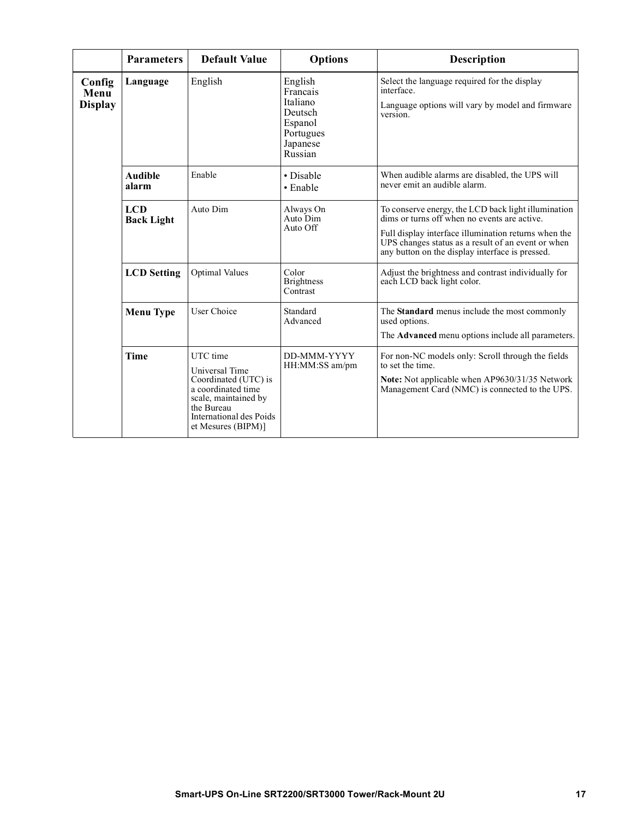|                                  | <b>Parameters</b>               | <b>Default Value</b>                                                                                                                                            | <b>Options</b>                                                                            | Description                                                                                                                                                                                                                                                          |
|----------------------------------|---------------------------------|-----------------------------------------------------------------------------------------------------------------------------------------------------------------|-------------------------------------------------------------------------------------------|----------------------------------------------------------------------------------------------------------------------------------------------------------------------------------------------------------------------------------------------------------------------|
| Config<br>Menu<br><b>Display</b> | Language                        | English                                                                                                                                                         | English<br>Francais<br>Italiano<br>Deutsch<br>Espanol<br>Portugues<br>Japanese<br>Russian | Select the language required for the display<br>interface.<br>Language options will vary by model and firmware<br>version.                                                                                                                                           |
|                                  | <b>Audible</b><br>alarm         | Enable                                                                                                                                                          | • Disable<br>• Enable                                                                     | When audible alarms are disabled, the UPS will<br>never emit an audible alarm.                                                                                                                                                                                       |
|                                  | <b>LCD</b><br><b>Back Light</b> | Auto Dim                                                                                                                                                        | Always On<br>Auto Dim<br>Auto Off                                                         | To conserve energy, the LCD back light illumination<br>dims or turns off when no events are active.<br>Full display interface illumination returns when the<br>UPS changes status as a result of an event or when<br>any button on the display interface is pressed. |
|                                  | <b>LCD</b> Setting              | <b>Optimal Values</b>                                                                                                                                           | Color<br><b>Brightness</b><br>Contrast                                                    | Adjust the brightness and contrast individually for<br>each LCD back light color.                                                                                                                                                                                    |
|                                  | <b>Menu Type</b>                | User Choice                                                                                                                                                     | Standard<br>Advanced                                                                      | The Standard menus include the most commonly<br>used options.<br>The <b>Advanced</b> menu options include all parameters.                                                                                                                                            |
|                                  | <b>Time</b>                     | UTC time<br>Universal Time<br>Coordinated (UTC) is<br>a coordinated time<br>scale, maintained by<br>the Bureau<br>International des Poids<br>et Mesures (BIPM)] | DD-MMM-YYYY<br>HH:MM:SS am/pm                                                             | For non-NC models only: Scroll through the fields<br>to set the time.<br>Note: Not applicable when AP9630/31/35 Network<br>Management Card (NMC) is connected to the UPS.                                                                                            |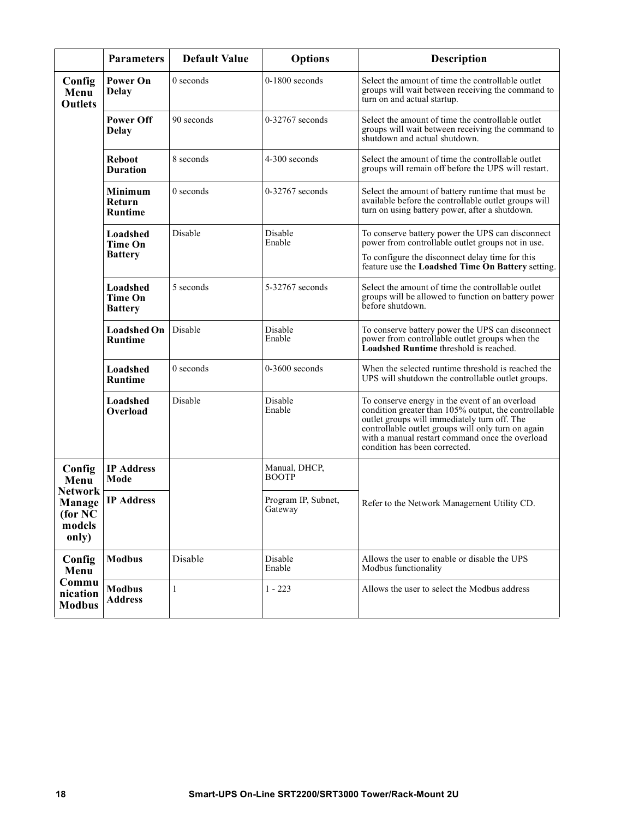|                                                                          | <b>Parameters</b>                            | <b>Default Value</b> | <b>Options</b>                 | <b>Description</b>                                                                                                                                                                                                                                                                               |
|--------------------------------------------------------------------------|----------------------------------------------|----------------------|--------------------------------|--------------------------------------------------------------------------------------------------------------------------------------------------------------------------------------------------------------------------------------------------------------------------------------------------|
| Config<br>Menu<br><b>Outlets</b>                                         | Power On<br><b>Delay</b>                     | 0 seconds            | $0-1800$ seconds               | Select the amount of time the controllable outlet<br>groups will wait between receiving the command to<br>turn on and actual startup.                                                                                                                                                            |
|                                                                          | <b>Power Off</b><br><b>Delay</b>             | 90 seconds           | $0-32767$ seconds              | Select the amount of time the controllable outlet<br>groups will wait between receiving the command to<br>shutdown and actual shutdown.                                                                                                                                                          |
|                                                                          | <b>Reboot</b><br><b>Duration</b>             | 8 seconds            | 4-300 seconds                  | Select the amount of time the controllable outlet<br>groups will remain off before the UPS will restart.                                                                                                                                                                                         |
|                                                                          | Minimum<br>Return<br><b>Runtime</b>          | $0$ seconds          | $0-32767$ seconds              | Select the amount of battery runtime that must be<br>available before the controllable outlet groups will<br>turn on using battery power, after a shutdown.                                                                                                                                      |
|                                                                          | Loadshed<br><b>Time On</b>                   | Disable              | Disable<br>Enable              | To conserve battery power the UPS can disconnect<br>power from controllable outlet groups not in use.                                                                                                                                                                                            |
|                                                                          | <b>Battery</b>                               |                      |                                | To configure the disconnect delay time for this<br>feature use the Loadshed Time On Battery setting.                                                                                                                                                                                             |
|                                                                          | Loadshed<br><b>Time On</b><br><b>Battery</b> | 5 seconds            | 5-32767 seconds                | Select the amount of time the controllable outlet<br>groups will be allowed to function on battery power<br>before shutdown.                                                                                                                                                                     |
|                                                                          | <b>Loadshed On</b><br><b>Runtime</b>         | Disable              | Disable<br>Enable              | To conserve battery power the UPS can disconnect<br>power from controllable outlet groups when the<br>Loadshed Runtime threshold is reached.                                                                                                                                                     |
|                                                                          | Loadshed<br><b>Runtime</b>                   | $0$ seconds          | $0-3600$ seconds               | When the selected runtime threshold is reached the<br>UPS will shutdown the controllable outlet groups.                                                                                                                                                                                          |
|                                                                          | Loadshed<br>Overload                         | Disable              | Disable<br>Enable              | To conserve energy in the event of an overload<br>condition greater than 105% output, the controllable<br>outlet groups will immediately turn off. The<br>controllable outlet groups will only turn on again<br>with a manual restart command once the overload<br>condition has been corrected. |
| Config<br>Menu<br><b>Network</b><br>Manage<br>(for NC<br>models<br>only) | <b>IP Address</b><br>Mode                    |                      | Manual, DHCP,<br><b>BOOTP</b>  |                                                                                                                                                                                                                                                                                                  |
|                                                                          | <b>IP Address</b>                            |                      | Program IP, Subnet,<br>Gateway | Refer to the Network Management Utility CD.                                                                                                                                                                                                                                                      |
| Config<br>Menu<br>Commu<br>nication<br><b>Modbus</b>                     | <b>Modbus</b>                                | Disable              | Disable<br>Enable              | Allows the user to enable or disable the UPS<br>Modbus functionality                                                                                                                                                                                                                             |
|                                                                          | <b>Modbus</b><br><b>Address</b>              | $\mathbf{1}$         | $1 - 223$                      | Allows the user to select the Modbus address                                                                                                                                                                                                                                                     |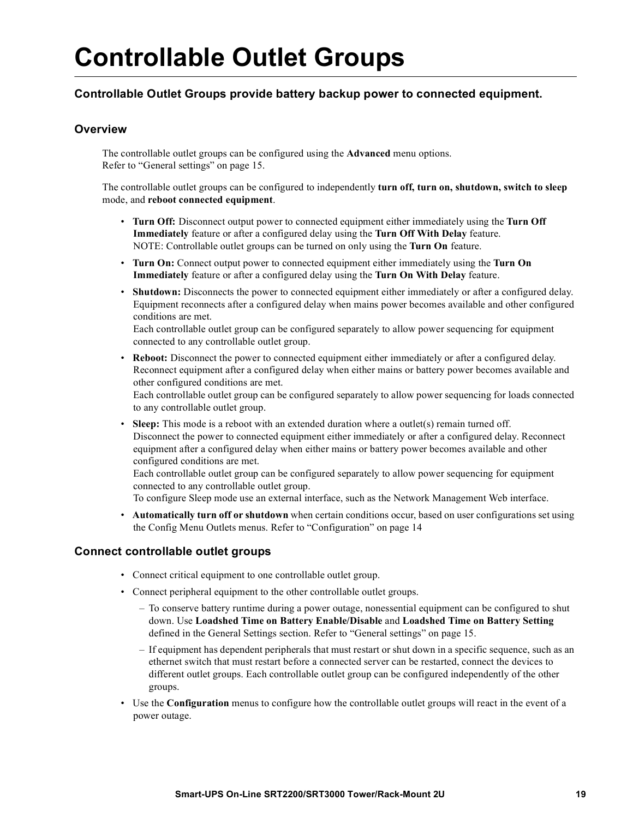# <span id="page-21-0"></span>**Controllable Outlet Groups**

### **Controllable Outlet Groups provide battery backup power to connected equipment.**

### **Overview**

The controllable outlet groups can be configured using the **Advanced** menu options. Refer to "General settings" on page 15.

The controllable outlet groups can be configured to independently **turn off, turn on, shutdown, switch to sleep** mode, and **reboot connected equipment**.

- **Turn Off:** Disconnect output power to connected equipment either immediately using the **Turn Off Immediately** feature or after a configured delay using the **Turn Off With Delay** feature. NOTE: Controllable outlet groups can be turned on only using the **Turn On** feature.
- **Turn On:** Connect output power to connected equipment either immediately using the **Turn On Immediately** feature or after a configured delay using the **Turn On With Delay** feature.
- **Shutdown:** Disconnects the power to connected equipment either immediately or after a configured delay. Equipment reconnects after a configured delay when mains power becomes available and other configured conditions are met.

Each controllable outlet group can be configured separately to allow power sequencing for equipment connected to any controllable outlet group.

• **Reboot:** Disconnect the power to connected equipment either immediately or after a configured delay. Reconnect equipment after a configured delay when either mains or battery power becomes available and other configured conditions are met.

Each controllable outlet group can be configured separately to allow power sequencing for loads connected to any controllable outlet group.

**Sleep:** This mode is a reboot with an extended duration where a outlet(s) remain turned off. Disconnect the power to connected equipment either immediately or after a configured delay. Reconnect equipment after a configured delay when either mains or battery power becomes available and other configured conditions are met.

Each controllable outlet group can be configured separately to allow power sequencing for equipment connected to any controllable outlet group.

To configure Sleep mode use an external [interface, such as the Networ](#page-16-0)k Management Web interface.

• **Automatically turn off or shutdown** when certain conditions occur, based on user configurations set using the Config Menu Outlets menus. Refer to "Configuration" on page 14

### **Connect controllable outlet groups**

- Connect critical equipment to one controllable outlet group.
- Connect peripheral equipment to the other controllable outlet groups.
	- To conserve battery runtime during a power out[age, nonessential equipment ca](#page-17-0)n be configured to shut down. Use **Loadshed Time on Battery Enable/Disable** and **Loadshed Time on Battery Setting** defined in the General Settings section. Refer to "General settings" on page 15.
	- If equipment has dependent peripherals that must restart or shut down in a specific sequence, such as an ethernet switch that must restart before a connected server can be restarted, connect the devices to different outlet groups. Each controllable outlet group can be configured independently of the other groups.
- Use the **Configuration** menus to configure how the controllable outlet groups will react in the event of a power outage.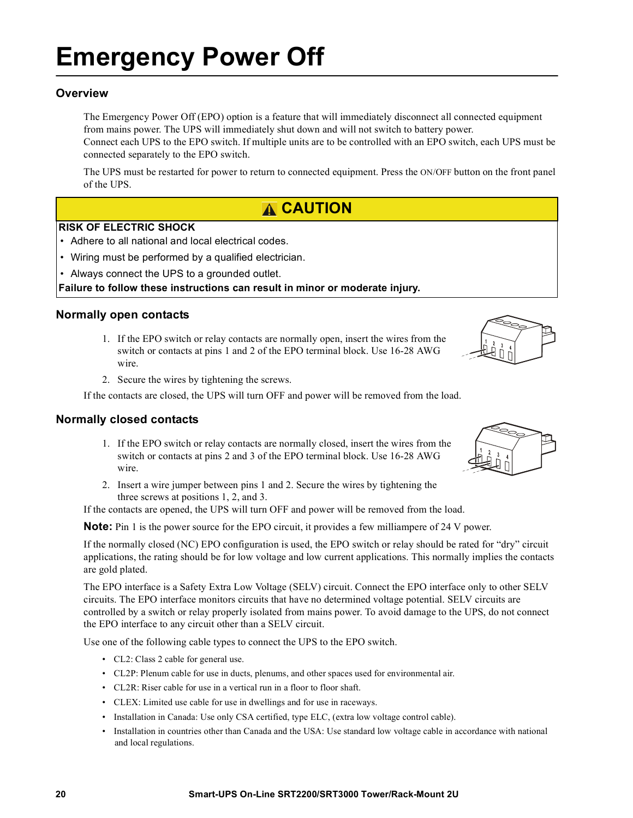# **Emergency Power Off**

### **Overview**

The Emergency Power Off (EPO) option is a feature that will immediately disconnect all connected equipment from mains power. The UPS will immediately shut down and will not switch to battery power. Connect each UPS to the EPO switch. If multiple units are to be controlled with an EPO switch, each UPS must be

connected separately to the EPO switch.

The UPS must be restarted for power to return to connected equipment. Press the ON/OFF button on the front panel of the UPS.

### **CAUTION**

#### **RISK OF ELECTRIC SHOCK**

- Adhere to all national and local electrical codes.
- Wiring must be performed by a qualified electrician.
- Always connect the UPS to a grounded outlet.

#### **Failure to follow these instructions can result in minor or moderate injury.**

#### **Normally open contacts**

- 1. If the EPO switch or relay contacts are normally open, insert the wires from the switch or contacts at pins 1 and 2 of the EPO terminal block. Use 16-28 AWG wire.
- 2. Secure the wires by tightening the screws.

If the contacts are closed, the UPS will turn OFF and power will be removed from the load.

### **Normally closed contacts**

- 1. If the EPO switch or relay contacts are normally closed, insert the wires from the switch or contacts at pins 2 and 3 of the EPO terminal block. Use 16-28 AWG wire.
- 2. Insert a wire jumper between pins 1 and 2. Secure the wires by tightening the three screws at positions 1, 2, and 3.

If the contacts are opened, the UPS will turn OFF and power will be removed from the load.

**Note:** Pin 1 is the power source for the EPO circuit, it provides a few milliampere of 24 V power.

If the normally closed (NC) EPO configuration is used, the EPO switch or relay should be rated for "dry" circuit applications, the rating should be for low voltage and low current applications. This normally implies the contacts are gold plated.

The EPO interface is a Safety Extra Low Voltage (SELV) circuit. Connect the EPO interface only to other SELV circuits. The EPO interface monitors circuits that have no determined voltage potential. SELV circuits are controlled by a switch or relay properly isolated from mains power. To avoid damage to the UPS, do not connect the EPO interface to any circuit other than a SELV circuit.

Use one of the following cable types to connect the UPS to the EPO switch.

- CL2: Class 2 cable for general use.
- CL2P: Plenum cable for use in ducts, plenums, and other spaces used for environmental air.
- CL2R: Riser cable for use in a vertical run in a floor to floor shaft.
- CLEX: Limited use cable for use in dwellings and for use in raceways.
- Installation in Canada: Use only CSA certified, type ELC, (extra low voltage control cable).
- Installation in countries other than Canada and the USA: Use standard low voltage cable in accordance with national and local regulations.



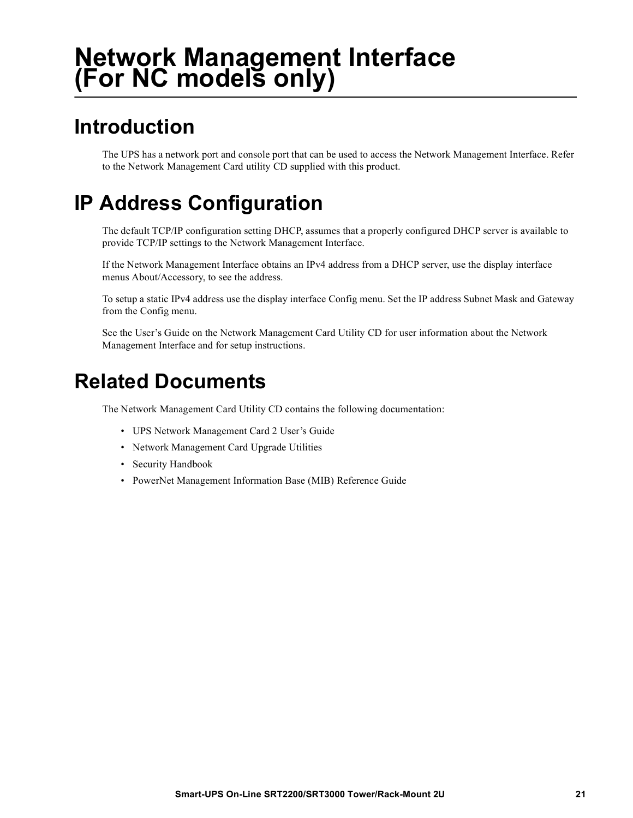## **Network Management Interface (For NC models only)**

### **Introduction**

The UPS has a network port and console port that can be used to access the Network Management Interface. Refer to the Network Management Card utility CD supplied with this product.

## **IP Address Configuration**

The default TCP/IP configuration setting DHCP, assumes that a properly configured DHCP server is available to provide TCP/IP settings to the Network Management Interface.

If the Network Management Interface obtains an IPv4 address from a DHCP server, use the display interface menus About/Accessory, to see the address.

To setup a static IPv4 address use the display interface Config menu. Set the IP address Subnet Mask and Gateway from the Config menu.

See the User's Guide on the Network Management Card Utility CD for user information about the Network Management Interface and for setup instructions.

### **Related Documents**

The Network Management Card Utility CD contains the following documentation:

- UPS Network Management Card 2 User's Guide
- Network Management Card Upgrade Utilities
- Security Handbook
- PowerNet Management Information Base (MIB) Reference Guide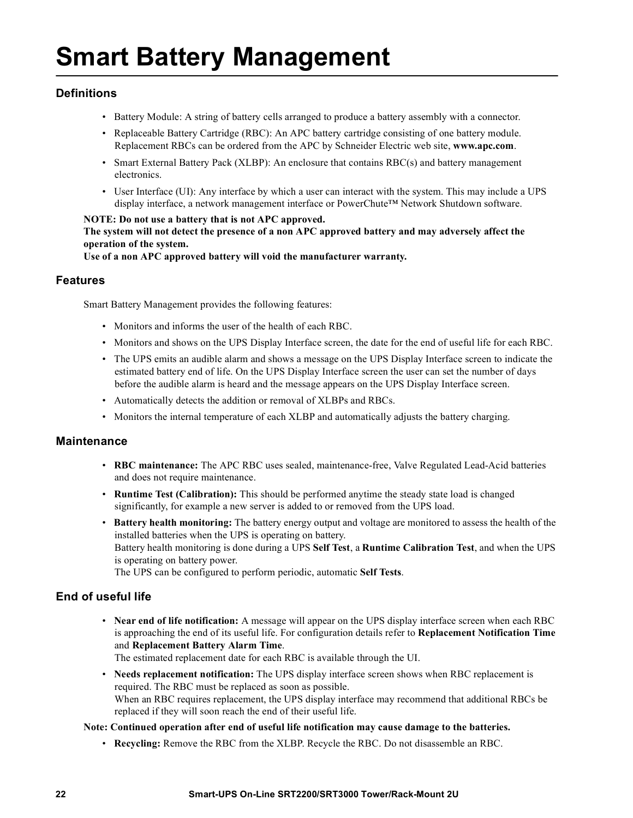# **Smart Battery Management**

### **Definitions**

- Battery Module: A string of battery cells arranged to produce a battery assembly with a connector.
- Replaceable Battery Cartridge (RBC): An APC battery cartridge consisting of one battery module. Replacement RBCs can be ordered from the APC by Schneider Electric web site, **www.apc.com**.
- Smart External Battery Pack (XLBP): An enclosure that contains RBC(s) and battery management electronics.
- User Interface (UI): Any interface by which a user can interact with the system. This may include a UPS display interface, a network management interface or PowerChute™ Network Shutdown software.

### **NOTE: Do not use a battery that is not APC approved. The system will not detect the presence of a non APC approved battery and may adversely affect the operation of the system.**

**Use of a non APC approved battery will void the manufacturer warranty.**

### **Features**

Smart Battery Management provides the following features:

- Monitors and informs the user of the health of each RBC.
- Monitors and shows on the UPS Display Interface screen, the date for the end of useful life for each RBC.
- The UPS emits an audible alarm and shows a message on the UPS Display Interface screen to indicate the estimated battery end of life. On the UPS Display Interface screen the user can set the number of days before the audible alarm is heard and the message appears on the UPS Display Interface screen.
- Automatically detects the addition or removal of XLBPs and RBCs.
- Monitors the internal temperature of each XLBP and automatically adjusts the battery charging.

### **Maintenance**

- **RBC maintenance:** The APC RBC uses sealed, maintenance-free, Valve Regulated Lead-Acid batteries and does not require maintenance.
- **Runtime Test (Calibration):** This should be performed anytime the steady state load is changed significantly, for example a new server is added to or removed from the UPS load.
- **Battery health monitoring:** The battery energy output and voltage are monitored to assess the health of the installed batteries when the UPS is operating on battery. Battery health monitoring is done during a UPS **Self Test**, a **Runtime Calibration Test**, and when the UPS is operating on battery power. The UPS can be configured to perform periodic, automatic **Self Tests**.

### **End of useful life**

- **Near end of life notification:** A message will appear on the UPS display interface screen when each RBC is approaching the end of its useful life. For configuration details refer to **Replacement Notification Time**  and **Replacement Battery Alarm Time**. The estimated replacement date for each RBC is available through the UI.
- **Needs replacement notification:** The UPS display interface screen shows when RBC replacement is required. The RBC must be replaced as soon as possible. When an RBC requires replacement, the UPS display interface may recommend that additional RBCs be replaced if they will soon reach the end of their useful life.

#### **Note: Continued operation after end of useful life notification may cause damage to the batteries.**

• **Recycling:** Remove the RBC from the XLBP. Recycle the RBC. Do not disassemble an RBC.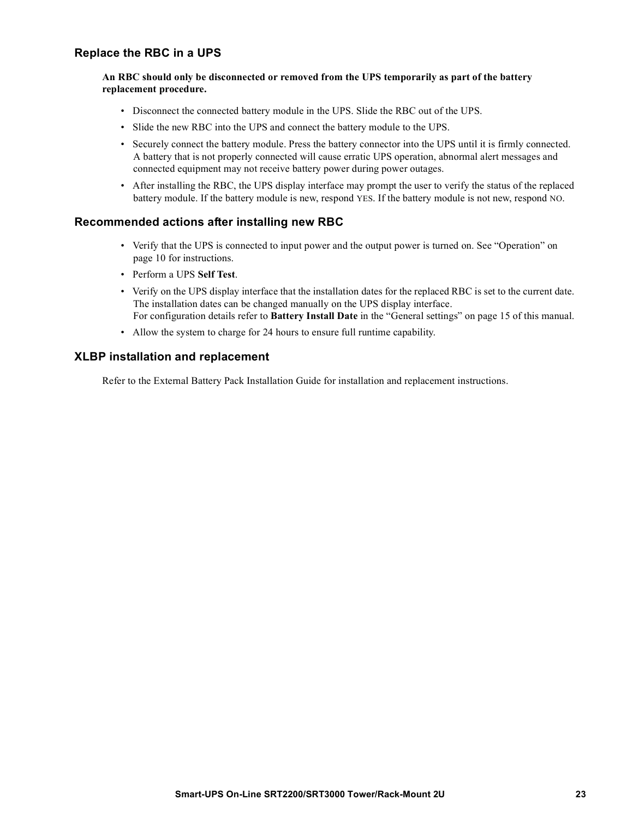### **Replace the RBC in a UPS**

#### **An RBC should only be disconnected or removed from the UPS temporarily as part of the battery replacement procedure.**

- Disconnect the connected battery module in the UPS. Slide the RBC out of the UPS.
- Slide the new RBC into the UPS and connect the battery module to the UPS.
- Securely connect the battery module. Press the battery connector into the UPS until it is firmly connected. A battery that is not properly connected will cause erratic UPS operation, abnormal alert messages and connected equipment may not receive battery power during power outages.
- After installing the RBC, the UPS display interface may prompt the user to verify the status of the replaced battery module. If the battery module is new, respond YES. If the battery module is not new, respond NO.

### **[Recommended a](#page-11-0)ctions after installing new RBC**

- Verify that the UPS is connected to input power and the output power is turned on. See "Operation" on page 10 for instructions.
- Perform a UPS **Self Test**.
- Verify on the UPS display interface that the installation dates [for the replaced RBC is set to t](#page-17-0)he current date. The installation dates can be changed manually on the UPS display interface. For configuration details refer to **Battery Install Date** in the "General settings" on page 15 of this manual.
- Allow the system to charge for 24 hours to ensure full runtime capability.

### **XLBP installation and replacement**

Refer to the External Battery Pack Installation Guide for installation and replacement instructions.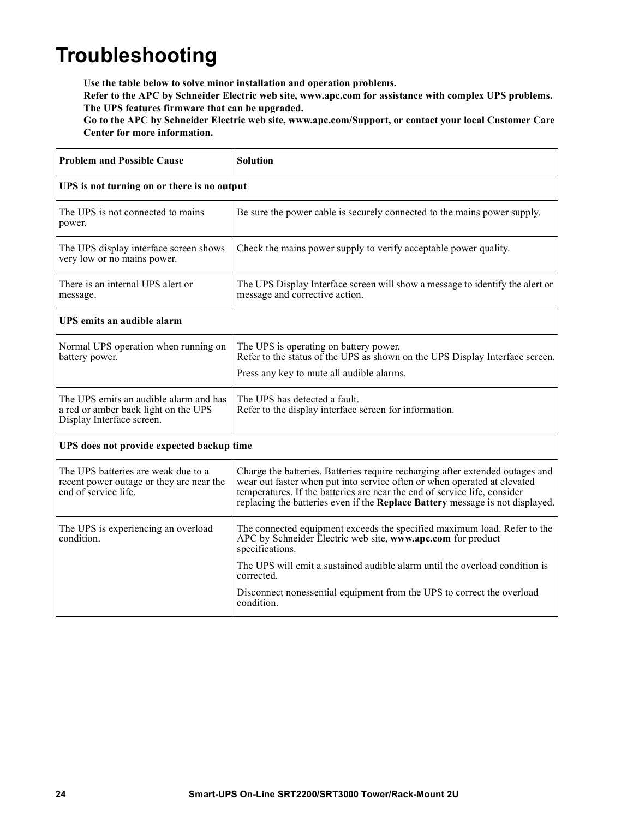## **Troubleshooting**

**Use the table below to solve minor installation and operation problems.** 

**Refer to the APC by Schneider Electric web site, www.apc.com for assistance with complex UPS problems. The UPS features firmware that can be upgraded.** 

**Go to the APC by Schneider Electric web site, www.apc.com/Support, or contact your local Customer Care Center for more information.**

| <b>Problem and Possible Cause</b>                                                                           | <b>Solution</b>                                                                                                                                                                                                                                                                                                         |  |  |  |
|-------------------------------------------------------------------------------------------------------------|-------------------------------------------------------------------------------------------------------------------------------------------------------------------------------------------------------------------------------------------------------------------------------------------------------------------------|--|--|--|
| UPS is not turning on or there is no output                                                                 |                                                                                                                                                                                                                                                                                                                         |  |  |  |
| The UPS is not connected to mains<br>power.                                                                 | Be sure the power cable is securely connected to the mains power supply.                                                                                                                                                                                                                                                |  |  |  |
| The UPS display interface screen shows<br>very low or no mains power.                                       | Check the mains power supply to verify acceptable power quality.                                                                                                                                                                                                                                                        |  |  |  |
| There is an internal UPS alert or<br>message.                                                               | The UPS Display Interface screen will show a message to identify the alert or<br>message and corrective action.                                                                                                                                                                                                         |  |  |  |
| UPS emits an audible alarm                                                                                  |                                                                                                                                                                                                                                                                                                                         |  |  |  |
| Normal UPS operation when running on<br>battery power.                                                      | The UPS is operating on battery power.<br>Refer to the status of the UPS as shown on the UPS Display Interface screen.<br>Press any key to mute all audible alarms.                                                                                                                                                     |  |  |  |
| The UPS emits an audible alarm and has<br>a red or amber back light on the UPS<br>Display Interface screen. | The UPS has detected a fault.<br>Refer to the display interface screen for information.                                                                                                                                                                                                                                 |  |  |  |
| UPS does not provide expected backup time                                                                   |                                                                                                                                                                                                                                                                                                                         |  |  |  |
| The UPS batteries are weak due to a<br>recent power outage or they are near the<br>end of service life.     | Charge the batteries. Batteries require recharging after extended outages and<br>wear out faster when put into service often or when operated at elevated<br>temperatures. If the batteries are near the end of service life, consider<br>replacing the batteries even if the Replace Battery message is not displayed. |  |  |  |
| The UPS is experiencing an overload<br>condition.                                                           | The connected equipment exceeds the specified maximum load. Refer to the<br>APC by Schneider Electric web site, www.apc.com for product<br>specifications.<br>The UPS will emit a sustained audible alarm until the overload condition is                                                                               |  |  |  |
|                                                                                                             | corrected.<br>Disconnect nonessential equipment from the UPS to correct the overload<br>condition.                                                                                                                                                                                                                      |  |  |  |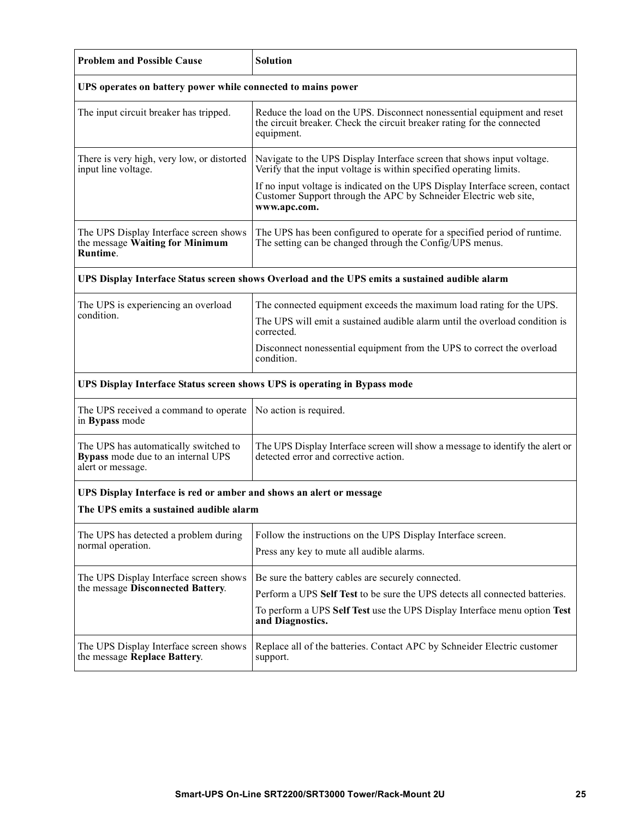| <b>Problem and Possible Cause</b>                                                                | <b>Solution</b>                                                                                                                                                   |  |  |  |
|--------------------------------------------------------------------------------------------------|-------------------------------------------------------------------------------------------------------------------------------------------------------------------|--|--|--|
| UPS operates on battery power while connected to mains power                                     |                                                                                                                                                                   |  |  |  |
| The input circuit breaker has tripped.                                                           | Reduce the load on the UPS. Disconnect nonessential equipment and reset<br>the circuit breaker. Check the circuit breaker rating for the connected<br>equipment.  |  |  |  |
| There is very high, very low, or distorted<br>input line voltage.                                | Navigate to the UPS Display Interface screen that shows input voltage.<br>Verify that the input voltage is within specified operating limits.                     |  |  |  |
|                                                                                                  | If no input voltage is indicated on the UPS Display Interface screen, contact<br>Customer Support through the APC by Schneider Electric web site,<br>www.apc.com. |  |  |  |
| The UPS Display Interface screen shows<br>the message Waiting for Minimum<br>Runtime.            | The UPS has been configured to operate for a specified period of runtime.<br>The setting can be changed through the Config/UPS menus.                             |  |  |  |
| UPS Display Interface Status screen shows Overload and the UPS emits a sustained audible alarm   |                                                                                                                                                                   |  |  |  |
| The UPS is experiencing an overload                                                              | The connected equipment exceeds the maximum load rating for the UPS.                                                                                              |  |  |  |
| condition.                                                                                       | The UPS will emit a sustained audible alarm until the overload condition is<br>corrected.                                                                         |  |  |  |
|                                                                                                  | Disconnect nonessential equipment from the UPS to correct the overload<br>condition.                                                                              |  |  |  |
| UPS Display Interface Status screen shows UPS is operating in Bypass mode                        |                                                                                                                                                                   |  |  |  |
| The UPS received a command to operate<br>in Bypass mode                                          | No action is required.                                                                                                                                            |  |  |  |
| The UPS has automatically switched to<br>Bypass mode due to an internal UPS<br>alert or message. | The UPS Display Interface screen will show a message to identify the alert or<br>detected error and corrective action.                                            |  |  |  |
| UPS Display Interface is red or amber and shows an alert or message                              |                                                                                                                                                                   |  |  |  |
| The UPS emits a sustained audible alarm                                                          |                                                                                                                                                                   |  |  |  |
| The UPS has detected a problem during<br>normal operation.                                       | Follow the instructions on the UPS Display Interface screen.<br>Press any key to mute all audible alarms.                                                         |  |  |  |
| The UPS Display Interface screen shows                                                           | Be sure the battery cables are securely connected.                                                                                                                |  |  |  |
| the message Disconnected Battery.                                                                | Perform a UPS Self Test to be sure the UPS detects all connected batteries.                                                                                       |  |  |  |
|                                                                                                  | To perform a UPS Self Test use the UPS Display Interface menu option Test<br>and Diagnostics.                                                                     |  |  |  |
| The UPS Display Interface screen shows<br>the message Replace Battery.                           | Replace all of the batteries. Contact APC by Schneider Electric customer<br>support.                                                                              |  |  |  |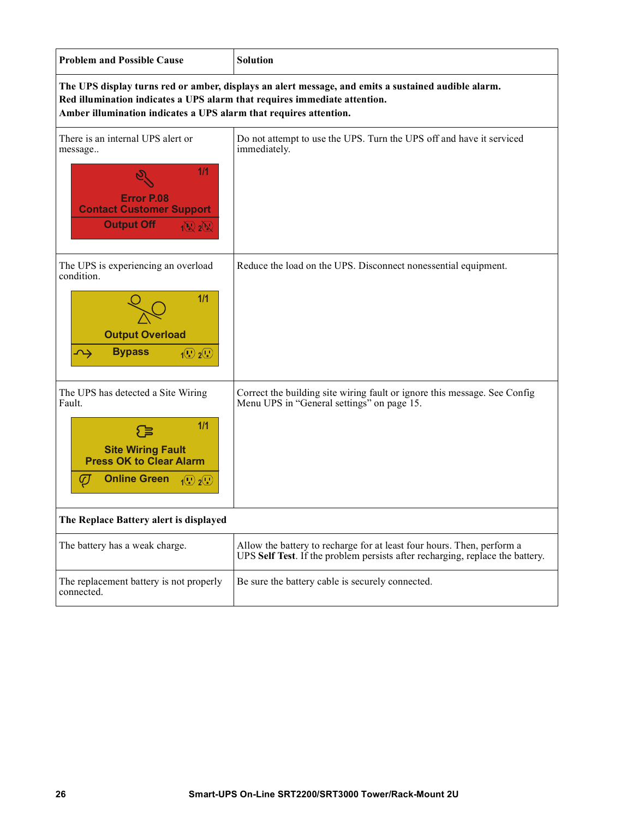| <b>Problem and Possible Cause</b>                                                                                                                                                                                                                     | <b>Solution</b>                                                                                                                                         |  |  |  |  |
|-------------------------------------------------------------------------------------------------------------------------------------------------------------------------------------------------------------------------------------------------------|---------------------------------------------------------------------------------------------------------------------------------------------------------|--|--|--|--|
| The UPS display turns red or amber, displays an alert message, and emits a sustained audible alarm.<br>Red illumination indicates a UPS alarm that requires immediate attention.<br>Amber illumination indicates a UPS alarm that requires attention. |                                                                                                                                                         |  |  |  |  |
| There is an internal UPS alert or<br>message<br>1/1<br><b>Error P.08</b><br><b>Contact Customer Support</b><br><b>Output Off</b><br>$\mathbb{N}$ 2 $\mathbb{N}$                                                                                       | Do not attempt to use the UPS. Turn the UPS off and have it serviced<br>immediately.                                                                    |  |  |  |  |
| The UPS is experiencing an overload<br>condition.<br>1/1<br><b>Output Overload</b><br><b>Bypass</b><br>$\overline{1^{(1)}}$ $\overline{2^{(1)}}$                                                                                                      | Reduce the load on the UPS. Disconnect nonessential equipment.                                                                                          |  |  |  |  |
| The UPS has detected a Site Wiring<br>Fault.<br>1/1<br>≡}<br><b>Site Wiring Fault</b><br><b>Press OK to Clear Alarm</b><br><b>Online Green</b><br>Ø<br>$\left(\mathbf{U}\right)\mathbf{2}(\mathbf{U})$                                                | Correct the building site wiring fault or ignore this message. See Config<br>Menu UPS in "General settings" on page 15.                                 |  |  |  |  |
| The Replace Battery alert is displayed                                                                                                                                                                                                                |                                                                                                                                                         |  |  |  |  |
| The battery has a weak charge.                                                                                                                                                                                                                        | Allow the battery to recharge for at least four hours. Then, perform a<br>UPS Self Test. If the problem persists after recharging, replace the battery. |  |  |  |  |
| The replacement battery is not properly<br>connected.                                                                                                                                                                                                 | Be sure the battery cable is securely connected.                                                                                                        |  |  |  |  |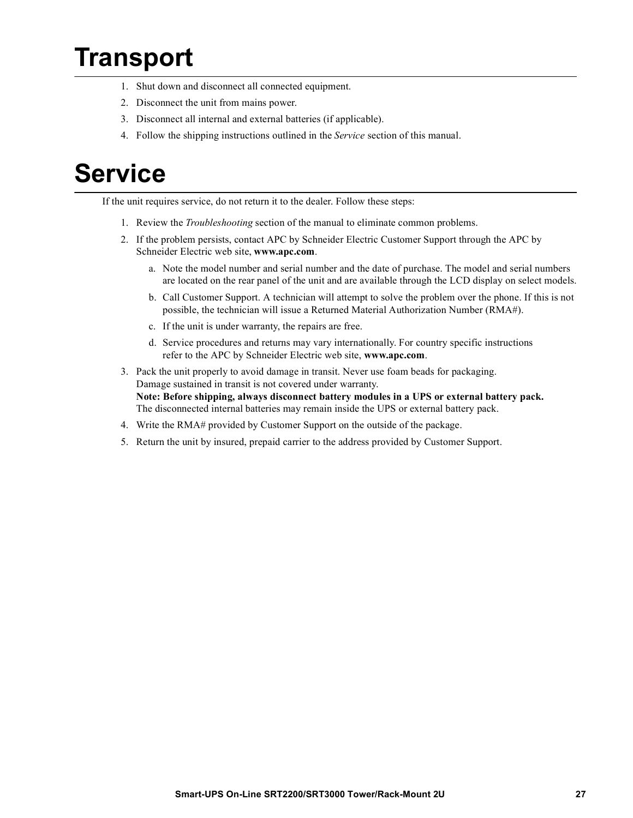# **Transport**

- 1. Shut down and disconnect all connected equipment.
- 2. Disconnect the unit from mains power.
- 3. Disconnect all internal and external batteries (if applicable).
- 4. Follow the shipping instructions outlined in the *Service* section of this manual.

# **Service**

If the unit requires service, do not return it to the dealer. Follow these steps:

- 1. Review the *Troubleshooting* section of the manual to eliminate common problems.
- 2. If the problem persists, contact APC by Schneider Electric Customer Support through the APC by Schneider Electric web site, **www.apc.com**.
	- a. Note the model number and serial number and the date of purchase. The model and serial numbers are located on the rear panel of the unit and are available through the LCD display on select models.
	- b. Call Customer Support. A technician will attempt to solve the problem over the phone. If this is not possible, the technician will issue a Returned Material Authorization Number (RMA#).
	- c. If the unit is under warranty, the repairs are free.
	- d. Service procedures and returns may vary internationally. For country specific instructions refer to the APC by Schneider Electric web site, **www.apc.com**.
- 3. Pack the unit properly to avoid damage in transit. Never use foam beads for packaging. Damage sustained in transit is not covered under warranty. **Note: Before shipping, always disconnect battery modules in a UPS or external battery pack.**  The disconnected internal batteries may remain inside the UPS or external battery pack.
- 4. Write the RMA# provided by Customer Support on the outside of the package.
- 5. Return the unit by insured, prepaid carrier to the address provided by Customer Support.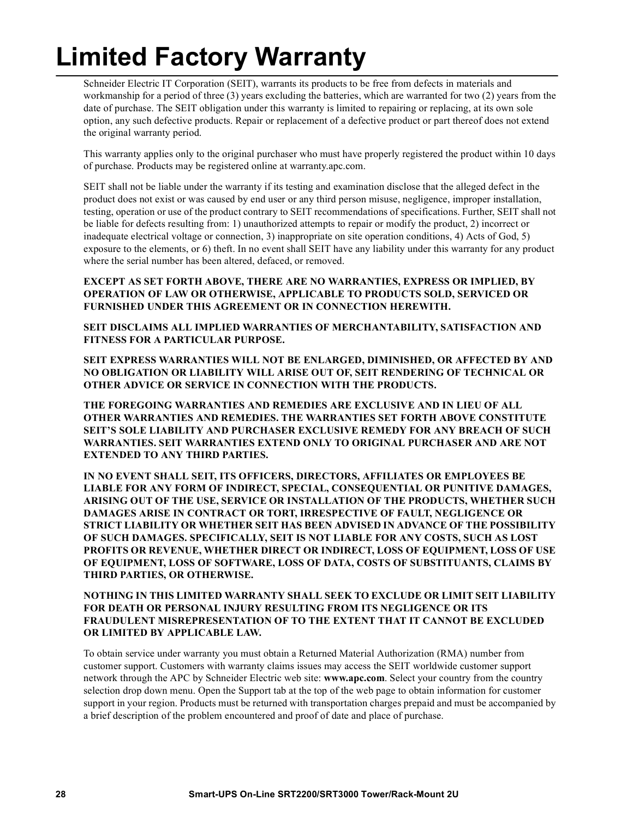# **Limited Factory Warranty**

Schneider Electric IT Corporation (SEIT), warrants its products to be free from defects in materials and workmanship for a period of three (3) years excluding the batteries, which are warranted for two (2) years from the date of purchase. The SEIT obligation under this warranty is limited to repairing or replacing, at its own sole option, any such defective products. Repair or replacement of a defective product or part thereof does not extend the original warranty period.

This warranty applies only to the original purchaser who must have properly registered the product within 10 days of purchase. Products may be registered online at warranty.apc.com.

SEIT shall not be liable under the warranty if its testing and examination disclose that the alleged defect in the product does not exist or was caused by end user or any third person misuse, negligence, improper installation, testing, operation or use of the product contrary to SEIT recommendations of specifications. Further, SEIT shall not be liable for defects resulting from: 1) unauthorized attempts to repair or modify the product, 2) incorrect or inadequate electrical voltage or connection, 3) inappropriate on site operation conditions, 4) Acts of God, 5) exposure to the elements, or 6) theft. In no event shall SEIT have any liability under this warranty for any product where the serial number has been altered, defaced, or removed.

#### **EXCEPT AS SET FORTH ABOVE, THERE ARE NO WARRANTIES, EXPRESS OR IMPLIED, BY OPERATION OF LAW OR OTHERWISE, APPLICABLE TO PRODUCTS SOLD, SERVICED OR FURNISHED UNDER THIS AGREEMENT OR IN CONNECTION HEREWITH.**

**SEIT DISCLAIMS ALL IMPLIED WARRANTIES OF MERCHANTABILITY, SATISFACTION AND FITNESS FOR A PARTICULAR PURPOSE.** 

**SEIT EXPRESS WARRANTIES WILL NOT BE ENLARGED, DIMINISHED, OR AFFECTED BY AND NO OBLIGATION OR LIABILITY WILL ARISE OUT OF, SEIT RENDERING OF TECHNICAL OR OTHER ADVICE OR SERVICE IN CONNECTION WITH THE PRODUCTS.** 

**THE FOREGOING WARRANTIES AND REMEDIES ARE EXCLUSIVE AND IN LIEU OF ALL OTHER WARRANTIES AND REMEDIES. THE WARRANTIES SET FORTH ABOVE CONSTITUTE SEIT'S SOLE LIABILITY AND PURCHASER EXCLUSIVE REMEDY FOR ANY BREACH OF SUCH WARRANTIES. SEIT WARRANTIES EXTEND ONLY TO ORIGINAL PURCHASER AND ARE NOT EXTENDED TO ANY THIRD PARTIES.** 

**IN NO EVENT SHALL SEIT, ITS OFFICERS, DIRECTORS, AFFILIATES OR EMPLOYEES BE LIABLE FOR ANY FORM OF INDIRECT, SPECIAL, CONSEQUENTIAL OR PUNITIVE DAMAGES, ARISING OUT OF THE USE, SERVICE OR INSTALLATION OF THE PRODUCTS, WHETHER SUCH DAMAGES ARISE IN CONTRACT OR TORT, IRRESPECTIVE OF FAULT, NEGLIGENCE OR STRICT LIABILITY OR WHETHER SEIT HAS BEEN ADVISED IN ADVANCE OF THE POSSIBILITY OF SUCH DAMAGES. SPECIFICALLY, SEIT IS NOT LIABLE FOR ANY COSTS, SUCH AS LOST PROFITS OR REVENUE, WHETHER DIRECT OR INDIRECT, LOSS OF EQUIPMENT, LOSS OF USE OF EQUIPMENT, LOSS OF SOFTWARE, LOSS OF DATA, COSTS OF SUBSTITUANTS, CLAIMS BY THIRD PARTIES, OR OTHERWISE.**

**NOTHING IN THIS LIMITED WARRANTY SHALL SEEK TO EXCLUDE OR LIMIT SEIT LIABILITY FOR DEATH OR PERSONAL INJURY RESULTING FROM ITS NEGLIGENCE OR ITS FRAUDULENT MISREPRESENTATION OF TO THE EXTENT THAT IT CANNOT BE EXCLUDED OR LIMITED BY APPLICABLE LAW.** 

To obtain service under warranty you must obtain a Returned Material Authorization (RMA) number from customer support. Customers with warranty claims issues may access the SEIT worldwide customer support network through the APC by Schneider Electric web site: **www.apc.com**. Select your country from the country selection drop down menu. Open the Support tab at the top of the web page to obtain information for customer support in your region. Products must be returned with transportation charges prepaid and must be accompanied by a brief description of the problem encountered and proof of date and place of purchase.